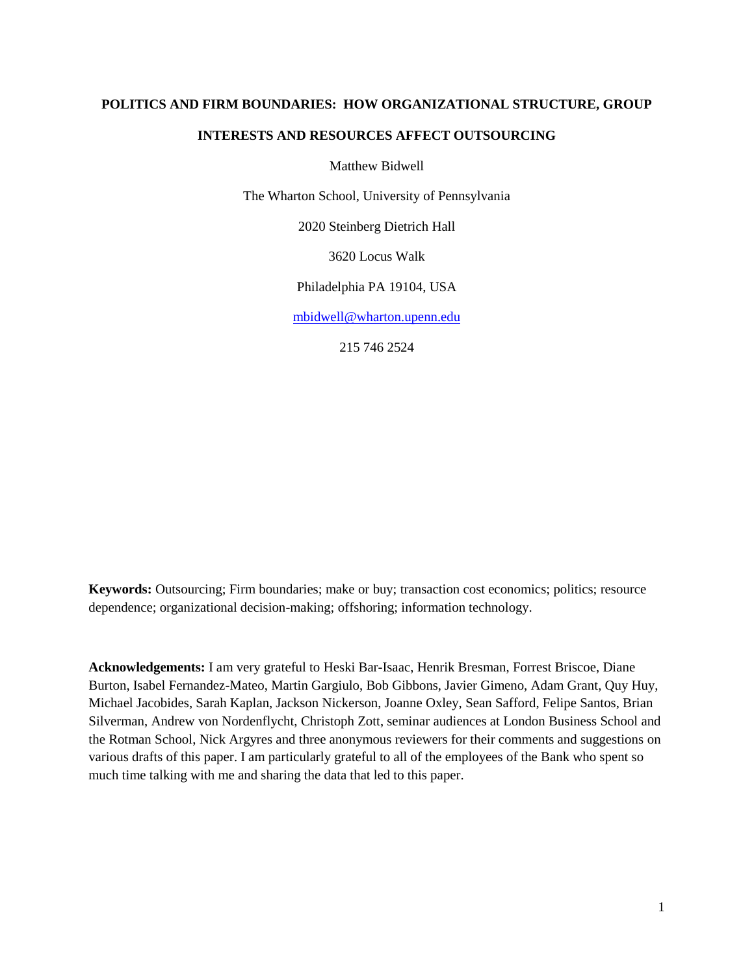# **POLITICS AND FIRM BOUNDARIES: HOW ORGANIZATIONAL STRUCTURE, GROUP INTERESTS AND RESOURCES AFFECT OUTSOURCING**

Matthew Bidwell

The Wharton School, University of Pennsylvania

2020 Steinberg Dietrich Hall

3620 Locus Walk

Philadelphia PA 19104, USA

[mbidwell@wharton.upenn.edu](mailto:mbidwell@wharton.upenn.edu)

215 746 2524

**Keywords:** Outsourcing; Firm boundaries; make or buy; transaction cost economics; politics; resource dependence; organizational decision-making; offshoring; information technology.

**Acknowledgements:** I am very grateful to Heski Bar-Isaac, Henrik Bresman, Forrest Briscoe, Diane Burton, Isabel Fernandez-Mateo, Martin Gargiulo, Bob Gibbons, Javier Gimeno, Adam Grant, Quy Huy, Michael Jacobides, Sarah Kaplan, Jackson Nickerson, Joanne Oxley, Sean Safford, Felipe Santos, Brian Silverman, Andrew von Nordenflycht, Christoph Zott, seminar audiences at London Business School and the Rotman School, Nick Argyres and three anonymous reviewers for their comments and suggestions on various drafts of this paper. I am particularly grateful to all of the employees of the Bank who spent so much time talking with me and sharing the data that led to this paper.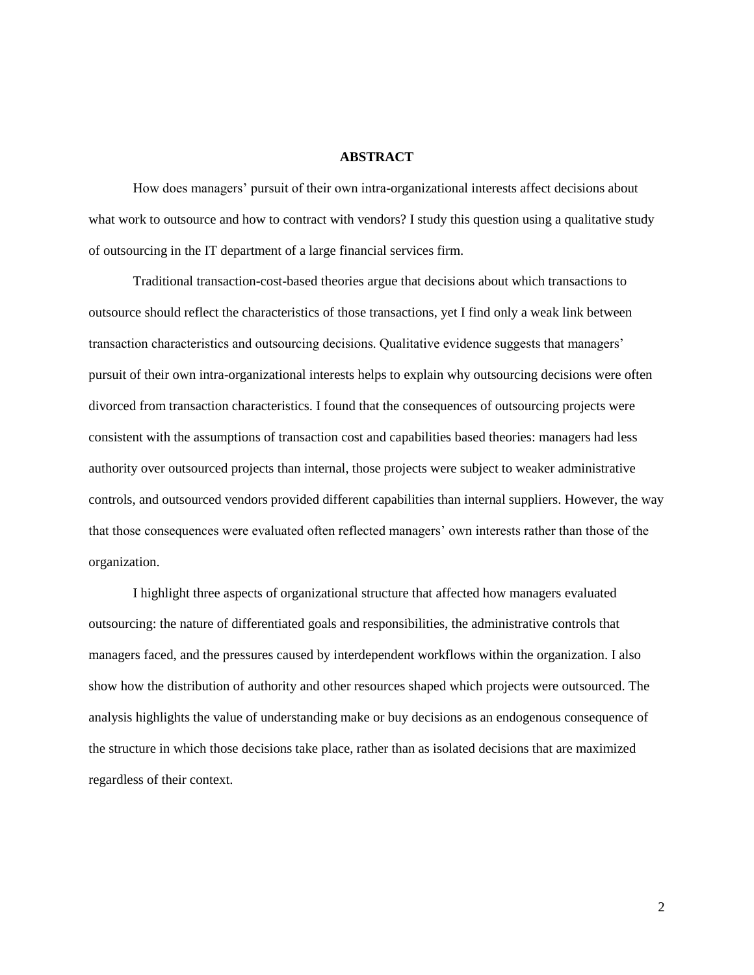#### **ABSTRACT**

How does managers' pursuit of their own intra-organizational interests affect decisions about what work to outsource and how to contract with vendors? I study this question using a qualitative study of outsourcing in the IT department of a large financial services firm.

Traditional transaction-cost-based theories argue that decisions about which transactions to outsource should reflect the characteristics of those transactions, yet I find only a weak link between transaction characteristics and outsourcing decisions. Qualitative evidence suggests that managers' pursuit of their own intra-organizational interests helps to explain why outsourcing decisions were often divorced from transaction characteristics. I found that the consequences of outsourcing projects were consistent with the assumptions of transaction cost and capabilities based theories: managers had less authority over outsourced projects than internal, those projects were subject to weaker administrative controls, and outsourced vendors provided different capabilities than internal suppliers. However, the way that those consequences were evaluated often reflected managers' own interests rather than those of the organization.

I highlight three aspects of organizational structure that affected how managers evaluated outsourcing: the nature of differentiated goals and responsibilities, the administrative controls that managers faced, and the pressures caused by interdependent workflows within the organization. I also show how the distribution of authority and other resources shaped which projects were outsourced. The analysis highlights the value of understanding make or buy decisions as an endogenous consequence of the structure in which those decisions take place, rather than as isolated decisions that are maximized regardless of their context.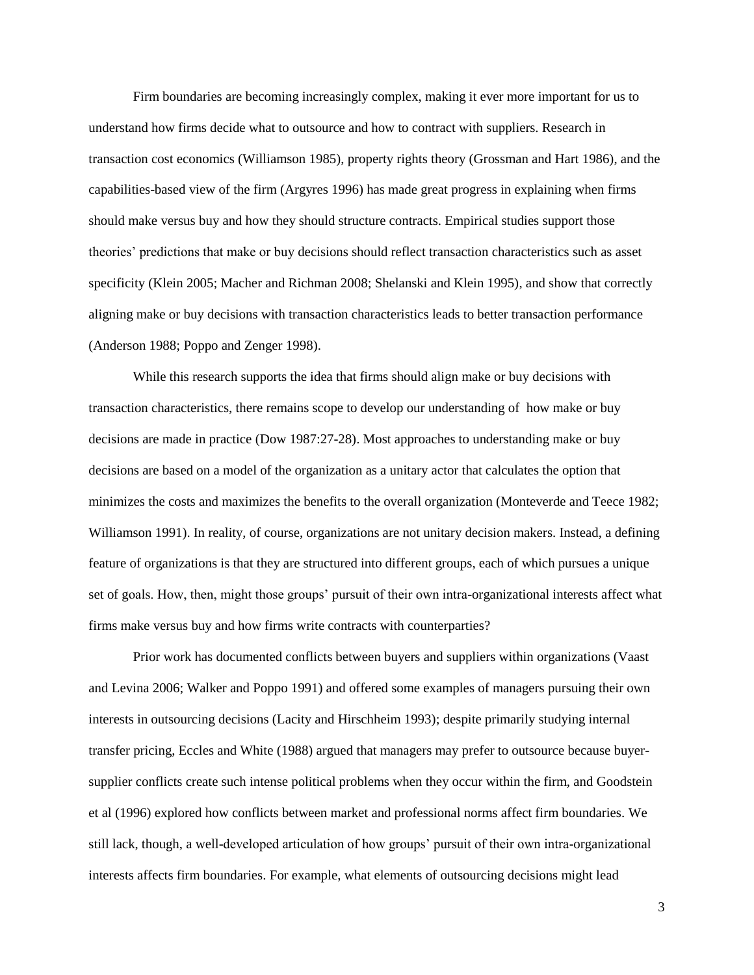Firm boundaries are becoming increasingly complex, making it ever more important for us to understand how firms decide what to outsource and how to contract with suppliers. Research in transaction cost economics (Williamson 1985), property rights theory (Grossman and Hart 1986), and the capabilities-based view of the firm (Argyres 1996) has made great progress in explaining when firms should make versus buy and how they should structure contracts. Empirical studies support those theories' predictions that make or buy decisions should reflect transaction characteristics such as asset specificity (Klein 2005; Macher and Richman 2008; Shelanski and Klein 1995), and show that correctly aligning make or buy decisions with transaction characteristics leads to better transaction performance (Anderson 1988; Poppo and Zenger 1998).

While this research supports the idea that firms should align make or buy decisions with transaction characteristics, there remains scope to develop our understanding of how make or buy decisions are made in practice (Dow 1987:27-28). Most approaches to understanding make or buy decisions are based on a model of the organization as a unitary actor that calculates the option that minimizes the costs and maximizes the benefits to the overall organization (Monteverde and Teece 1982; Williamson 1991). In reality, of course, organizations are not unitary decision makers. Instead, a defining feature of organizations is that they are structured into different groups, each of which pursues a unique set of goals. How, then, might those groups' pursuit of their own intra-organizational interests affect what firms make versus buy and how firms write contracts with counterparties?

Prior work has documented conflicts between buyers and suppliers within organizations (Vaast and Levina 2006; Walker and Poppo 1991) and offered some examples of managers pursuing their own interests in outsourcing decisions (Lacity and Hirschheim 1993); despite primarily studying internal transfer pricing, Eccles and White (1988) argued that managers may prefer to outsource because buyersupplier conflicts create such intense political problems when they occur within the firm, and Goodstein et al (1996) explored how conflicts between market and professional norms affect firm boundaries. We still lack, though, a well-developed articulation of how groups' pursuit of their own intra-organizational interests affects firm boundaries. For example, what elements of outsourcing decisions might lead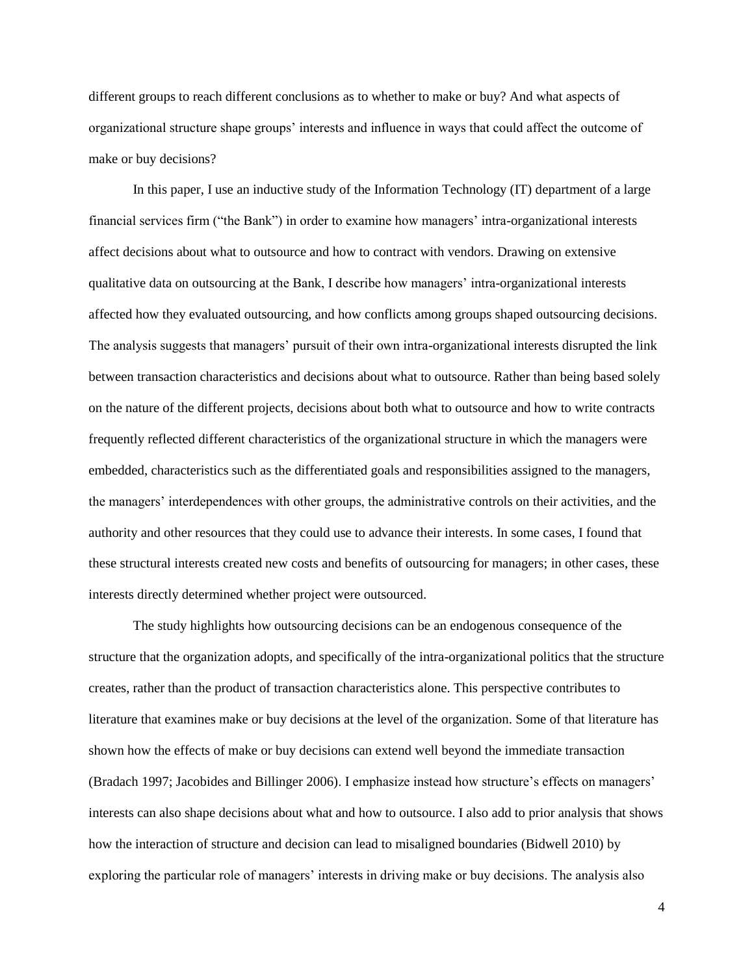different groups to reach different conclusions as to whether to make or buy? And what aspects of organizational structure shape groups' interests and influence in ways that could affect the outcome of make or buy decisions?

In this paper, I use an inductive study of the Information Technology (IT) department of a large financial services firm ("the Bank") in order to examine how managers' intra-organizational interests affect decisions about what to outsource and how to contract with vendors. Drawing on extensive qualitative data on outsourcing at the Bank, I describe how managers' intra-organizational interests affected how they evaluated outsourcing, and how conflicts among groups shaped outsourcing decisions. The analysis suggests that managers' pursuit of their own intra-organizational interests disrupted the link between transaction characteristics and decisions about what to outsource. Rather than being based solely on the nature of the different projects, decisions about both what to outsource and how to write contracts frequently reflected different characteristics of the organizational structure in which the managers were embedded, characteristics such as the differentiated goals and responsibilities assigned to the managers, the managers' interdependences with other groups, the administrative controls on their activities, and the authority and other resources that they could use to advance their interests. In some cases, I found that these structural interests created new costs and benefits of outsourcing for managers; in other cases, these interests directly determined whether project were outsourced.

The study highlights how outsourcing decisions can be an endogenous consequence of the structure that the organization adopts, and specifically of the intra-organizational politics that the structure creates, rather than the product of transaction characteristics alone. This perspective contributes to literature that examines make or buy decisions at the level of the organization. Some of that literature has shown how the effects of make or buy decisions can extend well beyond the immediate transaction (Bradach 1997; Jacobides and Billinger 2006). I emphasize instead how structure's effects on managers' interests can also shape decisions about what and how to outsource. I also add to prior analysis that shows how the interaction of structure and decision can lead to misaligned boundaries (Bidwell 2010) by exploring the particular role of managers' interests in driving make or buy decisions. The analysis also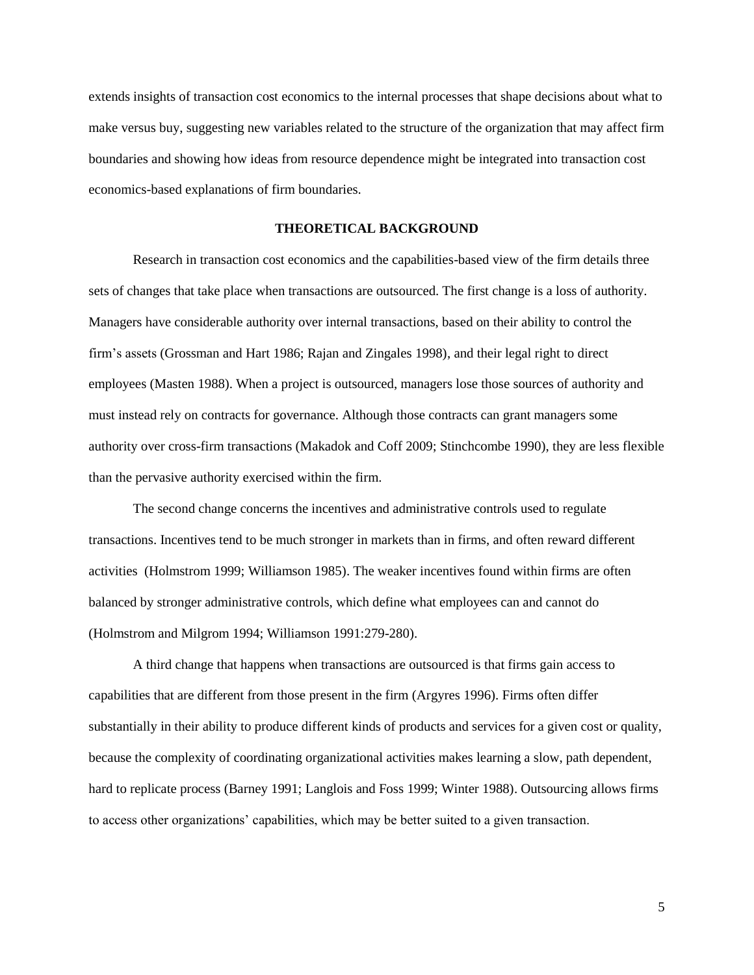extends insights of transaction cost economics to the internal processes that shape decisions about what to make versus buy, suggesting new variables related to the structure of the organization that may affect firm boundaries and showing how ideas from resource dependence might be integrated into transaction cost economics-based explanations of firm boundaries.

#### **THEORETICAL BACKGROUND**

Research in transaction cost economics and the capabilities-based view of the firm details three sets of changes that take place when transactions are outsourced. The first change is a loss of authority. Managers have considerable authority over internal transactions, based on their ability to control the firm's assets (Grossman and Hart 1986; Rajan and Zingales 1998), and their legal right to direct employees (Masten 1988). When a project is outsourced, managers lose those sources of authority and must instead rely on contracts for governance. Although those contracts can grant managers some authority over cross-firm transactions (Makadok and Coff 2009; Stinchcombe 1990), they are less flexible than the pervasive authority exercised within the firm.

The second change concerns the incentives and administrative controls used to regulate transactions. Incentives tend to be much stronger in markets than in firms, and often reward different activities (Holmstrom 1999; Williamson 1985). The weaker incentives found within firms are often balanced by stronger administrative controls, which define what employees can and cannot do (Holmstrom and Milgrom 1994; Williamson 1991:279-280).

A third change that happens when transactions are outsourced is that firms gain access to capabilities that are different from those present in the firm (Argyres 1996). Firms often differ substantially in their ability to produce different kinds of products and services for a given cost or quality, because the complexity of coordinating organizational activities makes learning a slow, path dependent, hard to replicate process (Barney 1991; Langlois and Foss 1999; Winter 1988). Outsourcing allows firms to access other organizations' capabilities, which may be better suited to a given transaction.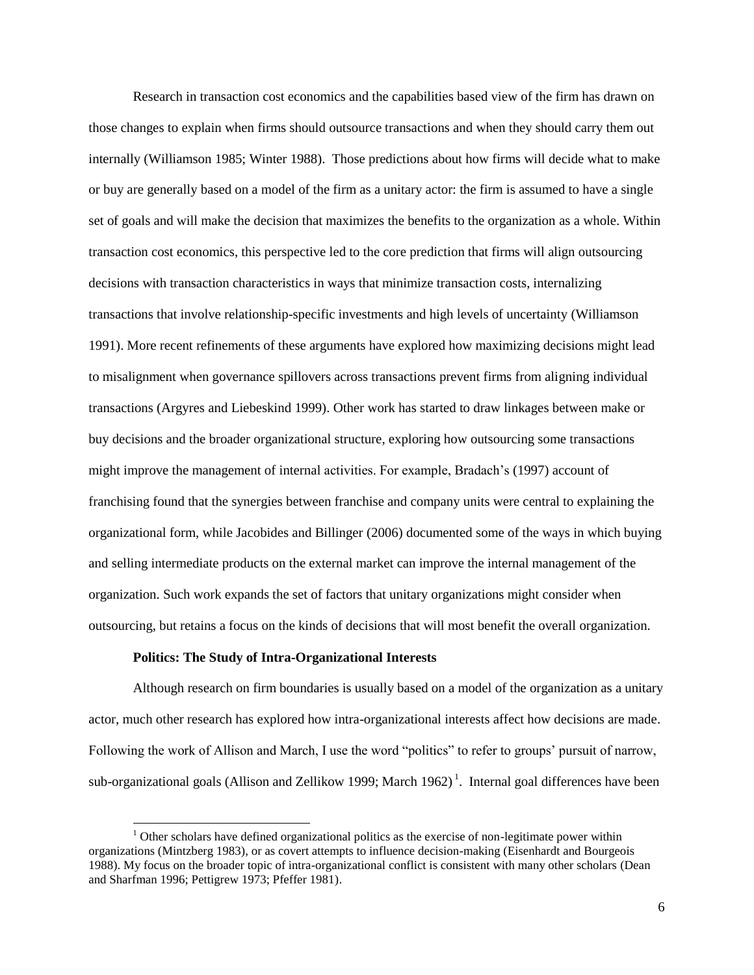Research in transaction cost economics and the capabilities based view of the firm has drawn on those changes to explain when firms should outsource transactions and when they should carry them out internally (Williamson 1985; Winter 1988). Those predictions about how firms will decide what to make or buy are generally based on a model of the firm as a unitary actor: the firm is assumed to have a single set of goals and will make the decision that maximizes the benefits to the organization as a whole. Within transaction cost economics, this perspective led to the core prediction that firms will align outsourcing decisions with transaction characteristics in ways that minimize transaction costs, internalizing transactions that involve relationship-specific investments and high levels of uncertainty (Williamson 1991). More recent refinements of these arguments have explored how maximizing decisions might lead to misalignment when governance spillovers across transactions prevent firms from aligning individual transactions (Argyres and Liebeskind 1999). Other work has started to draw linkages between make or buy decisions and the broader organizational structure, exploring how outsourcing some transactions might improve the management of internal activities. For example, Bradach's (1997) account of franchising found that the synergies between franchise and company units were central to explaining the organizational form, while Jacobides and Billinger (2006) documented some of the ways in which buying and selling intermediate products on the external market can improve the internal management of the organization. Such work expands the set of factors that unitary organizations might consider when outsourcing, but retains a focus on the kinds of decisions that will most benefit the overall organization.

#### **Politics: The Study of Intra-Organizational Interests**

 $\overline{a}$ 

Although research on firm boundaries is usually based on a model of the organization as a unitary actor, much other research has explored how intra-organizational interests affect how decisions are made. Following the work of Allison and March, I use the word "politics" to refer to groups' pursuit of narrow, sub-organizational goals (Allison and Zellikow 1999; March 1962)<sup>1</sup>. Internal goal differences have been

 $<sup>1</sup>$  Other scholars have defined organizational politics as the exercise of non-legitimate power within</sup> organizations (Mintzberg 1983), or as covert attempts to influence decision-making (Eisenhardt and Bourgeois 1988). My focus on the broader topic of intra-organizational conflict is consistent with many other scholars (Dean and Sharfman 1996; Pettigrew 1973; Pfeffer 1981).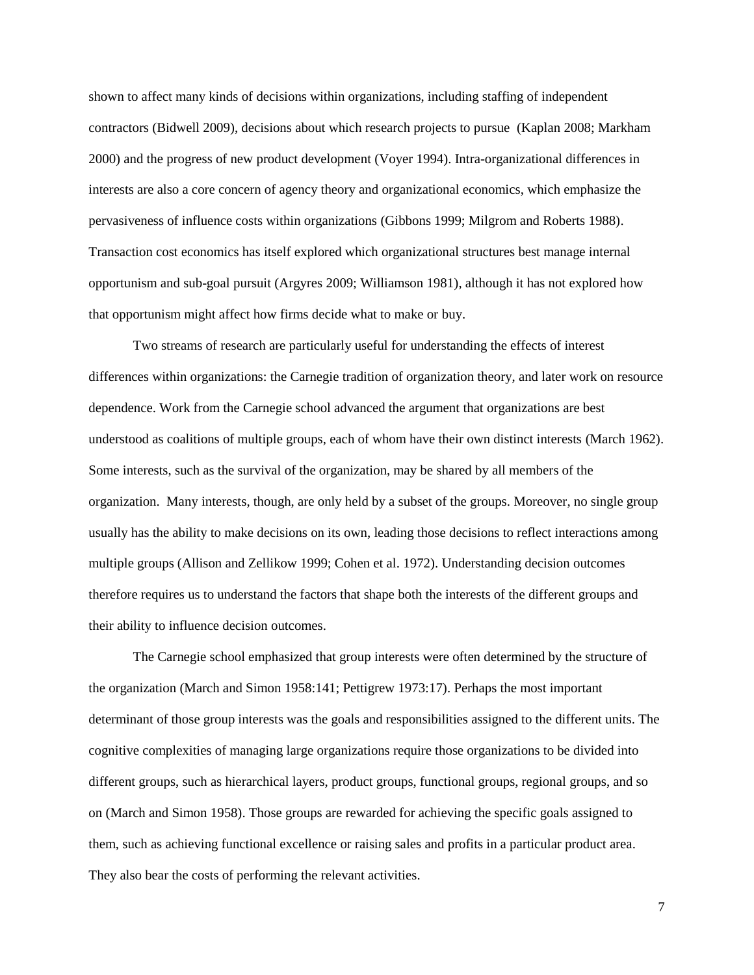shown to affect many kinds of decisions within organizations, including staffing of independent contractors (Bidwell 2009), decisions about which research projects to pursue (Kaplan 2008; Markham 2000) and the progress of new product development (Voyer 1994). Intra-organizational differences in interests are also a core concern of agency theory and organizational economics, which emphasize the pervasiveness of influence costs within organizations (Gibbons 1999; Milgrom and Roberts 1988). Transaction cost economics has itself explored which organizational structures best manage internal opportunism and sub-goal pursuit (Argyres 2009; Williamson 1981), although it has not explored how that opportunism might affect how firms decide what to make or buy.

Two streams of research are particularly useful for understanding the effects of interest differences within organizations: the Carnegie tradition of organization theory, and later work on resource dependence. Work from the Carnegie school advanced the argument that organizations are best understood as coalitions of multiple groups, each of whom have their own distinct interests (March 1962). Some interests, such as the survival of the organization, may be shared by all members of the organization. Many interests, though, are only held by a subset of the groups. Moreover, no single group usually has the ability to make decisions on its own, leading those decisions to reflect interactions among multiple groups (Allison and Zellikow 1999; Cohen et al. 1972). Understanding decision outcomes therefore requires us to understand the factors that shape both the interests of the different groups and their ability to influence decision outcomes.

The Carnegie school emphasized that group interests were often determined by the structure of the organization (March and Simon 1958:141; Pettigrew 1973:17). Perhaps the most important determinant of those group interests was the goals and responsibilities assigned to the different units. The cognitive complexities of managing large organizations require those organizations to be divided into different groups, such as hierarchical layers, product groups, functional groups, regional groups, and so on (March and Simon 1958). Those groups are rewarded for achieving the specific goals assigned to them, such as achieving functional excellence or raising sales and profits in a particular product area. They also bear the costs of performing the relevant activities.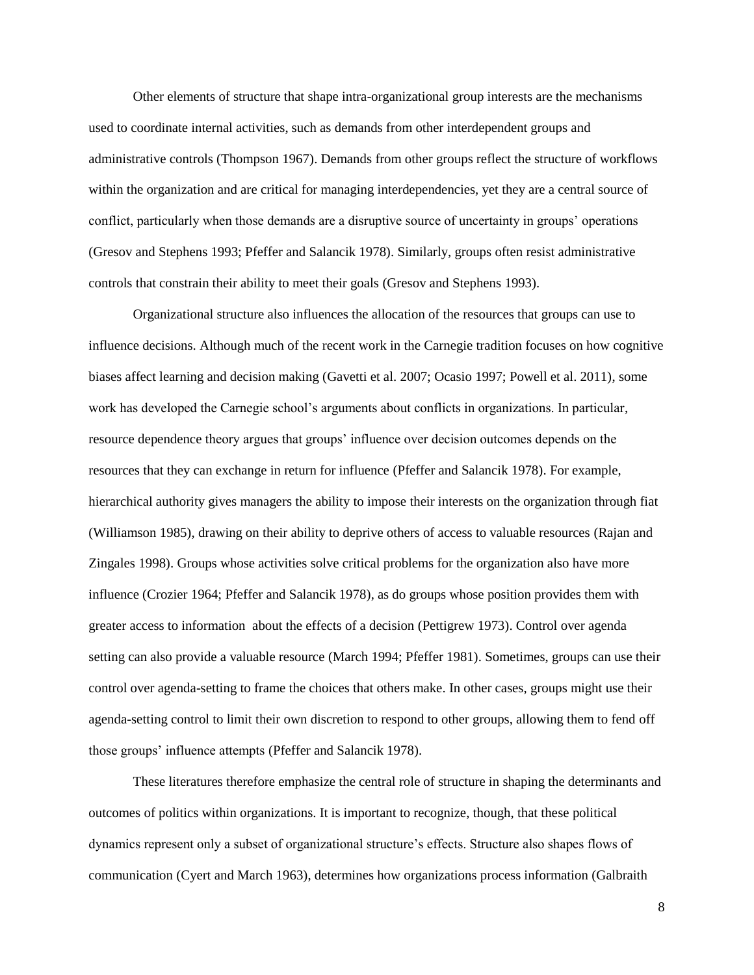Other elements of structure that shape intra-organizational group interests are the mechanisms used to coordinate internal activities, such as demands from other interdependent groups and administrative controls (Thompson 1967). Demands from other groups reflect the structure of workflows within the organization and are critical for managing interdependencies, yet they are a central source of conflict, particularly when those demands are a disruptive source of uncertainty in groups' operations (Gresov and Stephens 1993; Pfeffer and Salancik 1978). Similarly, groups often resist administrative controls that constrain their ability to meet their goals (Gresov and Stephens 1993).

Organizational structure also influences the allocation of the resources that groups can use to influence decisions. Although much of the recent work in the Carnegie tradition focuses on how cognitive biases affect learning and decision making (Gavetti et al. 2007; Ocasio 1997; Powell et al. 2011), some work has developed the Carnegie school's arguments about conflicts in organizations. In particular, resource dependence theory argues that groups' influence over decision outcomes depends on the resources that they can exchange in return for influence (Pfeffer and Salancik 1978). For example, hierarchical authority gives managers the ability to impose their interests on the organization through fiat (Williamson 1985), drawing on their ability to deprive others of access to valuable resources (Rajan and Zingales 1998). Groups whose activities solve critical problems for the organization also have more influence (Crozier 1964; Pfeffer and Salancik 1978), as do groups whose position provides them with greater access to information about the effects of a decision (Pettigrew 1973). Control over agenda setting can also provide a valuable resource (March 1994; Pfeffer 1981). Sometimes, groups can use their control over agenda-setting to frame the choices that others make. In other cases, groups might use their agenda-setting control to limit their own discretion to respond to other groups, allowing them to fend off those groups' influence attempts (Pfeffer and Salancik 1978).

These literatures therefore emphasize the central role of structure in shaping the determinants and outcomes of politics within organizations. It is important to recognize, though, that these political dynamics represent only a subset of organizational structure's effects. Structure also shapes flows of communication (Cyert and March 1963), determines how organizations process information (Galbraith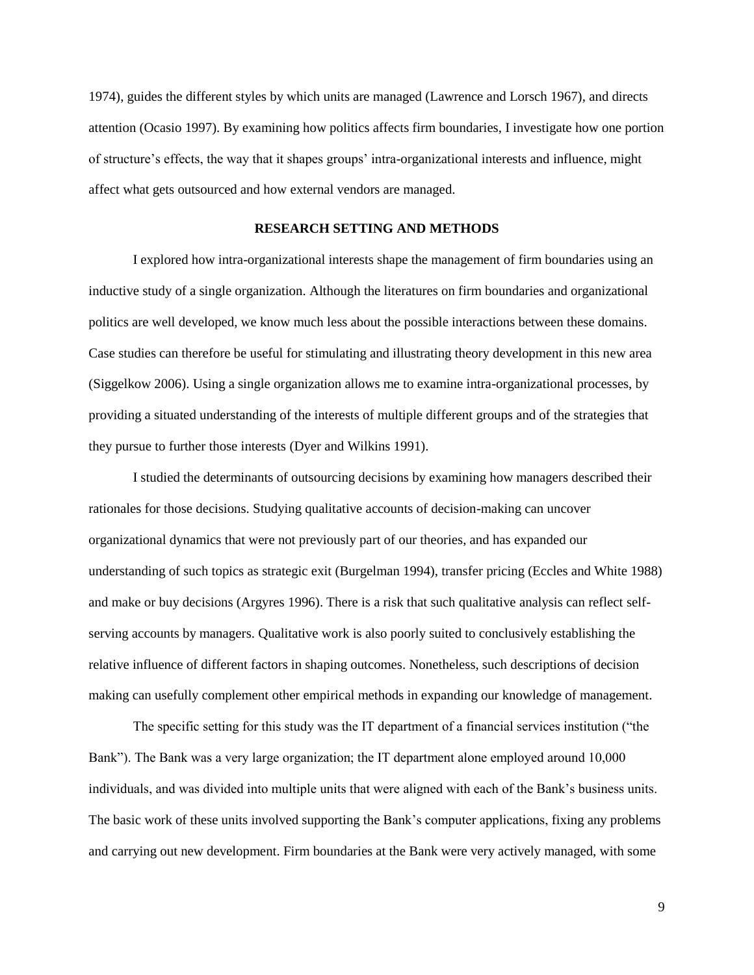1974), guides the different styles by which units are managed (Lawrence and Lorsch 1967), and directs attention (Ocasio 1997). By examining how politics affects firm boundaries, I investigate how one portion of structure's effects, the way that it shapes groups' intra-organizational interests and influence, might affect what gets outsourced and how external vendors are managed.

#### **RESEARCH SETTING AND METHODS**

I explored how intra-organizational interests shape the management of firm boundaries using an inductive study of a single organization. Although the literatures on firm boundaries and organizational politics are well developed, we know much less about the possible interactions between these domains. Case studies can therefore be useful for stimulating and illustrating theory development in this new area (Siggelkow 2006). Using a single organization allows me to examine intra-organizational processes, by providing a situated understanding of the interests of multiple different groups and of the strategies that they pursue to further those interests (Dyer and Wilkins 1991).

I studied the determinants of outsourcing decisions by examining how managers described their rationales for those decisions. Studying qualitative accounts of decision-making can uncover organizational dynamics that were not previously part of our theories, and has expanded our understanding of such topics as strategic exit (Burgelman 1994), transfer pricing (Eccles and White 1988) and make or buy decisions (Argyres 1996). There is a risk that such qualitative analysis can reflect selfserving accounts by managers. Qualitative work is also poorly suited to conclusively establishing the relative influence of different factors in shaping outcomes. Nonetheless, such descriptions of decision making can usefully complement other empirical methods in expanding our knowledge of management.

The specific setting for this study was the IT department of a financial services institution ("the Bank"). The Bank was a very large organization; the IT department alone employed around 10,000 individuals, and was divided into multiple units that were aligned with each of the Bank's business units. The basic work of these units involved supporting the Bank's computer applications, fixing any problems and carrying out new development. Firm boundaries at the Bank were very actively managed, with some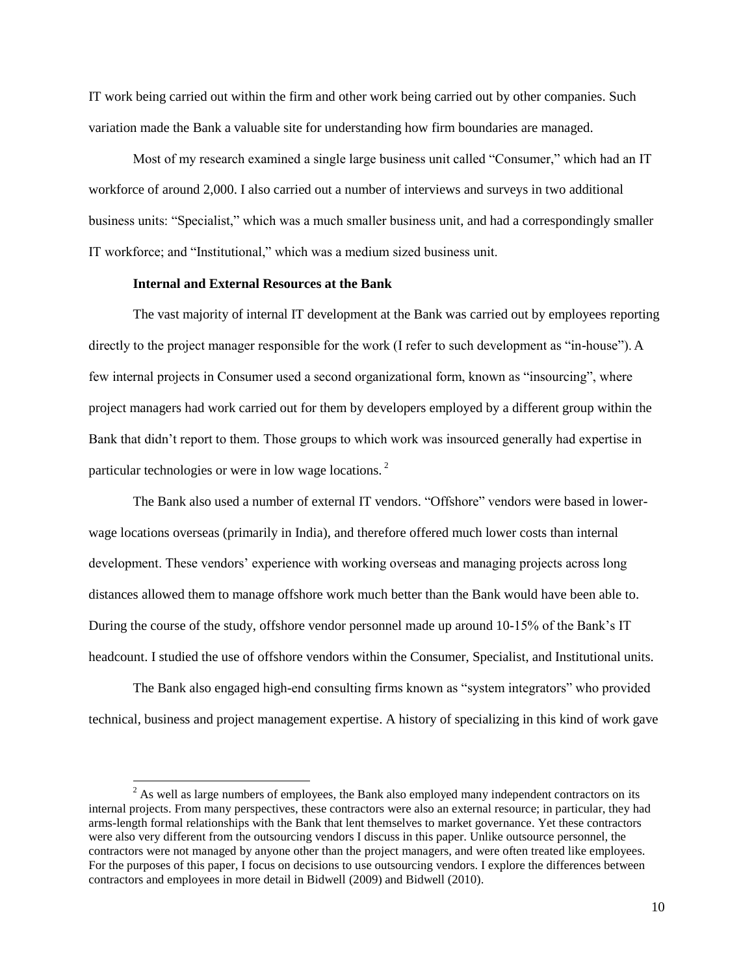IT work being carried out within the firm and other work being carried out by other companies. Such variation made the Bank a valuable site for understanding how firm boundaries are managed.

Most of my research examined a single large business unit called "Consumer," which had an IT workforce of around 2,000. I also carried out a number of interviews and surveys in two additional business units: "Specialist," which was a much smaller business unit, and had a correspondingly smaller IT workforce; and "Institutional," which was a medium sized business unit.

### **Internal and External Resources at the Bank**

 $\overline{a}$ 

The vast majority of internal IT development at the Bank was carried out by employees reporting directly to the project manager responsible for the work (I refer to such development as "in-house"). A few internal projects in Consumer used a second organizational form, known as "insourcing", where project managers had work carried out for them by developers employed by a different group within the Bank that didn't report to them. Those groups to which work was insourced generally had expertise in particular technologies or were in low wage locations.<sup>2</sup>

The Bank also used a number of external IT vendors. "Offshore" vendors were based in lowerwage locations overseas (primarily in India), and therefore offered much lower costs than internal development. These vendors' experience with working overseas and managing projects across long distances allowed them to manage offshore work much better than the Bank would have been able to. During the course of the study, offshore vendor personnel made up around 10-15% of the Bank's IT headcount. I studied the use of offshore vendors within the Consumer, Specialist, and Institutional units.

The Bank also engaged high-end consulting firms known as "system integrators" who provided technical, business and project management expertise. A history of specializing in this kind of work gave

 $2<sup>2</sup>$  As well as large numbers of employees, the Bank also employed many independent contractors on its internal projects. From many perspectives, these contractors were also an external resource; in particular, they had arms-length formal relationships with the Bank that lent themselves to market governance. Yet these contractors were also very different from the outsourcing vendors I discuss in this paper. Unlike outsource personnel, the contractors were not managed by anyone other than the project managers, and were often treated like employees. For the purposes of this paper, I focus on decisions to use outsourcing vendors. I explore the differences between contractors and employees in more detail in Bidwell (2009) and Bidwell (2010).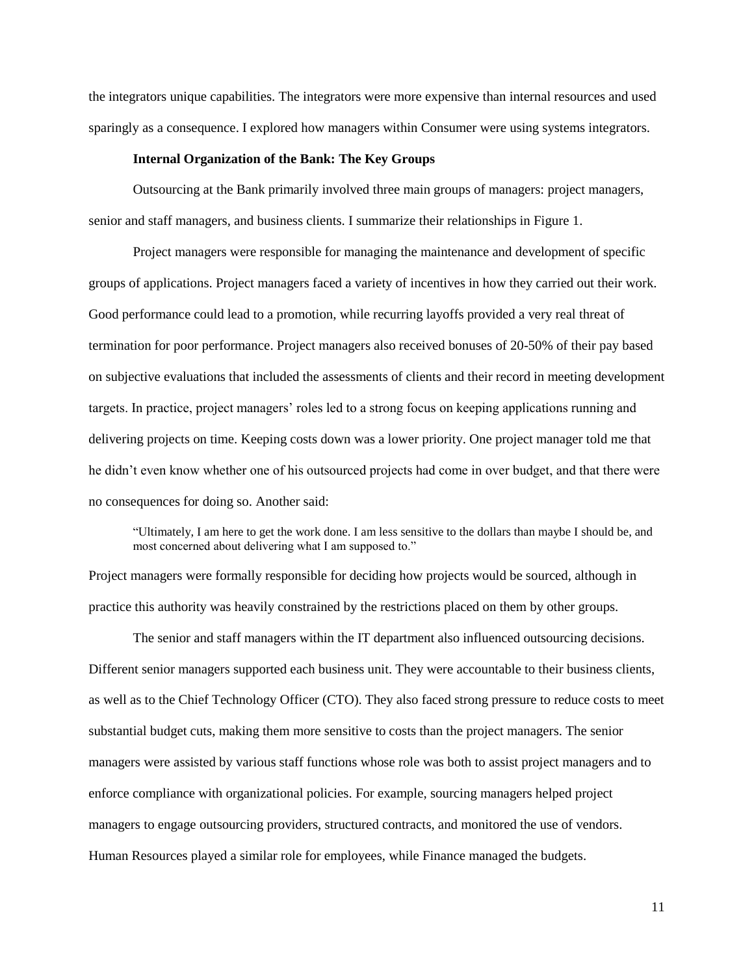the integrators unique capabilities. The integrators were more expensive than internal resources and used sparingly as a consequence. I explored how managers within Consumer were using systems integrators.

#### **Internal Organization of the Bank: The Key Groups**

Outsourcing at the Bank primarily involved three main groups of managers: project managers, senior and staff managers, and business clients. I summarize their relationships in Figure 1.

Project managers were responsible for managing the maintenance and development of specific groups of applications. Project managers faced a variety of incentives in how they carried out their work. Good performance could lead to a promotion, while recurring layoffs provided a very real threat of termination for poor performance. Project managers also received bonuses of 20-50% of their pay based on subjective evaluations that included the assessments of clients and their record in meeting development targets. In practice, project managers' roles led to a strong focus on keeping applications running and delivering projects on time. Keeping costs down was a lower priority. One project manager told me that he didn't even know whether one of his outsourced projects had come in over budget, and that there were no consequences for doing so. Another said:

"Ultimately, I am here to get the work done. I am less sensitive to the dollars than maybe I should be, and most concerned about delivering what I am supposed to."

Project managers were formally responsible for deciding how projects would be sourced, although in practice this authority was heavily constrained by the restrictions placed on them by other groups.

The senior and staff managers within the IT department also influenced outsourcing decisions. Different senior managers supported each business unit. They were accountable to their business clients, as well as to the Chief Technology Officer (CTO). They also faced strong pressure to reduce costs to meet substantial budget cuts, making them more sensitive to costs than the project managers. The senior managers were assisted by various staff functions whose role was both to assist project managers and to enforce compliance with organizational policies. For example, sourcing managers helped project managers to engage outsourcing providers, structured contracts, and monitored the use of vendors. Human Resources played a similar role for employees, while Finance managed the budgets.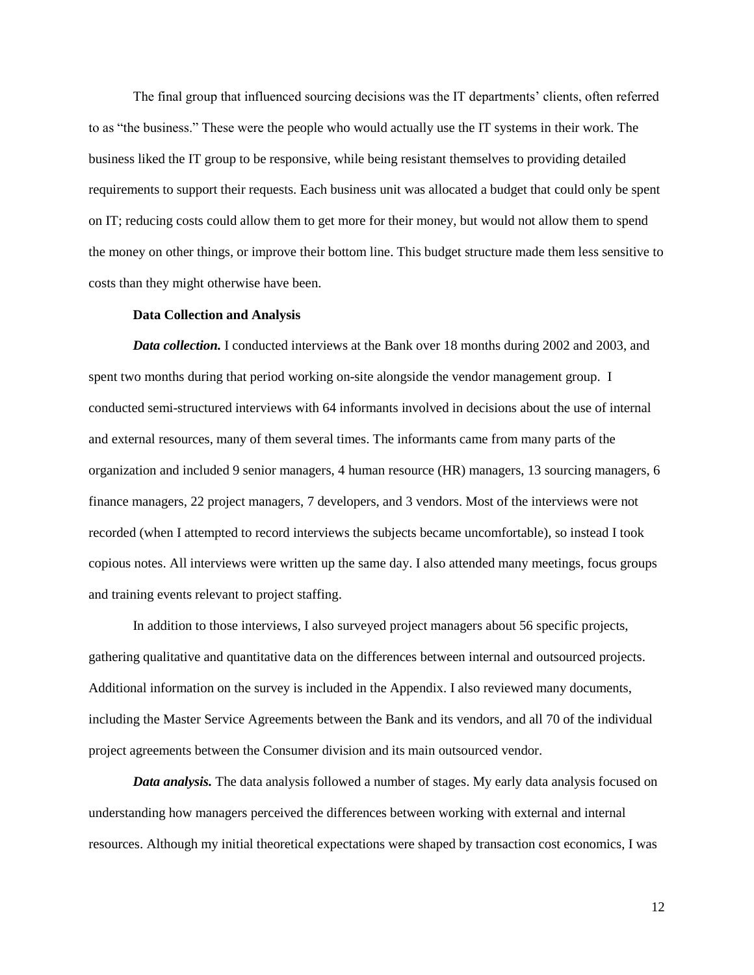The final group that influenced sourcing decisions was the IT departments' clients, often referred to as "the business." These were the people who would actually use the IT systems in their work. The business liked the IT group to be responsive, while being resistant themselves to providing detailed requirements to support their requests. Each business unit was allocated a budget that could only be spent on IT; reducing costs could allow them to get more for their money, but would not allow them to spend the money on other things, or improve their bottom line. This budget structure made them less sensitive to costs than they might otherwise have been.

#### **Data Collection and Analysis**

*Data collection.* I conducted interviews at the Bank over 18 months during 2002 and 2003, and spent two months during that period working on-site alongside the vendor management group. I conducted semi-structured interviews with 64 informants involved in decisions about the use of internal and external resources, many of them several times. The informants came from many parts of the organization and included 9 senior managers, 4 human resource (HR) managers, 13 sourcing managers, 6 finance managers, 22 project managers, 7 developers, and 3 vendors. Most of the interviews were not recorded (when I attempted to record interviews the subjects became uncomfortable), so instead I took copious notes. All interviews were written up the same day. I also attended many meetings, focus groups and training events relevant to project staffing.

In addition to those interviews, I also surveyed project managers about 56 specific projects, gathering qualitative and quantitative data on the differences between internal and outsourced projects. Additional information on the survey is included in the Appendix. I also reviewed many documents, including the Master Service Agreements between the Bank and its vendors, and all 70 of the individual project agreements between the Consumer division and its main outsourced vendor.

*Data analysis.* The data analysis followed a number of stages. My early data analysis focused on understanding how managers perceived the differences between working with external and internal resources. Although my initial theoretical expectations were shaped by transaction cost economics, I was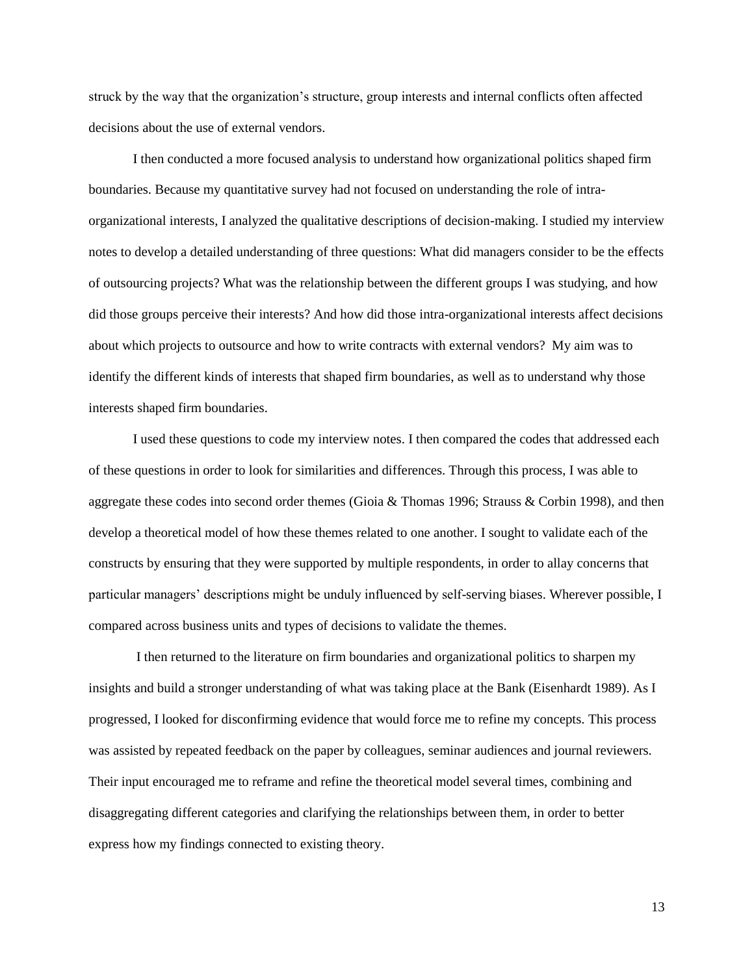struck by the way that the organization's structure, group interests and internal conflicts often affected decisions about the use of external vendors.

I then conducted a more focused analysis to understand how organizational politics shaped firm boundaries. Because my quantitative survey had not focused on understanding the role of intraorganizational interests, I analyzed the qualitative descriptions of decision-making. I studied my interview notes to develop a detailed understanding of three questions: What did managers consider to be the effects of outsourcing projects? What was the relationship between the different groups I was studying, and how did those groups perceive their interests? And how did those intra-organizational interests affect decisions about which projects to outsource and how to write contracts with external vendors? My aim was to identify the different kinds of interests that shaped firm boundaries, as well as to understand why those interests shaped firm boundaries.

I used these questions to code my interview notes. I then compared the codes that addressed each of these questions in order to look for similarities and differences. Through this process, I was able to aggregate these codes into second order themes (Gioia & Thomas 1996; Strauss & Corbin 1998), and then develop a theoretical model of how these themes related to one another. I sought to validate each of the constructs by ensuring that they were supported by multiple respondents, in order to allay concerns that particular managers' descriptions might be unduly influenced by self-serving biases. Wherever possible, I compared across business units and types of decisions to validate the themes.

I then returned to the literature on firm boundaries and organizational politics to sharpen my insights and build a stronger understanding of what was taking place at the Bank (Eisenhardt 1989). As I progressed, I looked for disconfirming evidence that would force me to refine my concepts. This process was assisted by repeated feedback on the paper by colleagues, seminar audiences and journal reviewers. Their input encouraged me to reframe and refine the theoretical model several times, combining and disaggregating different categories and clarifying the relationships between them, in order to better express how my findings connected to existing theory.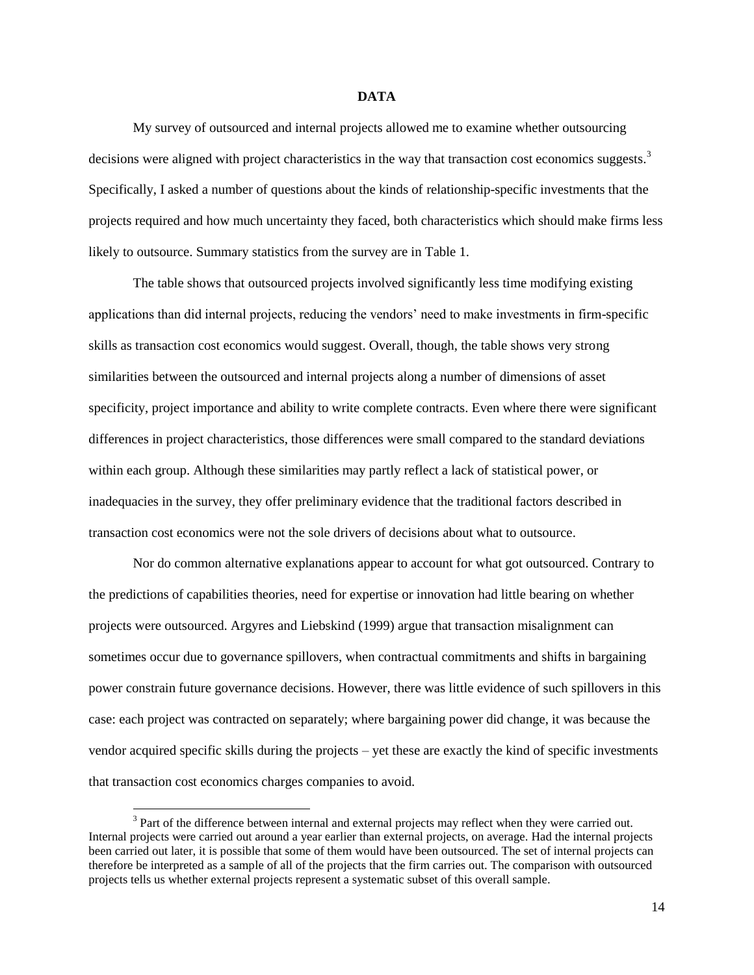#### **DATA**

My survey of outsourced and internal projects allowed me to examine whether outsourcing decisions were aligned with project characteristics in the way that transaction cost economics suggests.<sup>3</sup> Specifically, I asked a number of questions about the kinds of relationship-specific investments that the projects required and how much uncertainty they faced, both characteristics which should make firms less likely to outsource. Summary statistics from the survey are in Table 1.

The table shows that outsourced projects involved significantly less time modifying existing applications than did internal projects, reducing the vendors' need to make investments in firm-specific skills as transaction cost economics would suggest. Overall, though, the table shows very strong similarities between the outsourced and internal projects along a number of dimensions of asset specificity, project importance and ability to write complete contracts. Even where there were significant differences in project characteristics, those differences were small compared to the standard deviations within each group. Although these similarities may partly reflect a lack of statistical power, or inadequacies in the survey, they offer preliminary evidence that the traditional factors described in transaction cost economics were not the sole drivers of decisions about what to outsource.

Nor do common alternative explanations appear to account for what got outsourced. Contrary to the predictions of capabilities theories, need for expertise or innovation had little bearing on whether projects were outsourced. Argyres and Liebskind (1999) argue that transaction misalignment can sometimes occur due to governance spillovers, when contractual commitments and shifts in bargaining power constrain future governance decisions. However, there was little evidence of such spillovers in this case: each project was contracted on separately; where bargaining power did change, it was because the vendor acquired specific skills during the projects – yet these are exactly the kind of specific investments that transaction cost economics charges companies to avoid.

 $\overline{a}$ 

 $3$  Part of the difference between internal and external projects may reflect when they were carried out. Internal projects were carried out around a year earlier than external projects, on average. Had the internal projects been carried out later, it is possible that some of them would have been outsourced. The set of internal projects can therefore be interpreted as a sample of all of the projects that the firm carries out. The comparison with outsourced projects tells us whether external projects represent a systematic subset of this overall sample.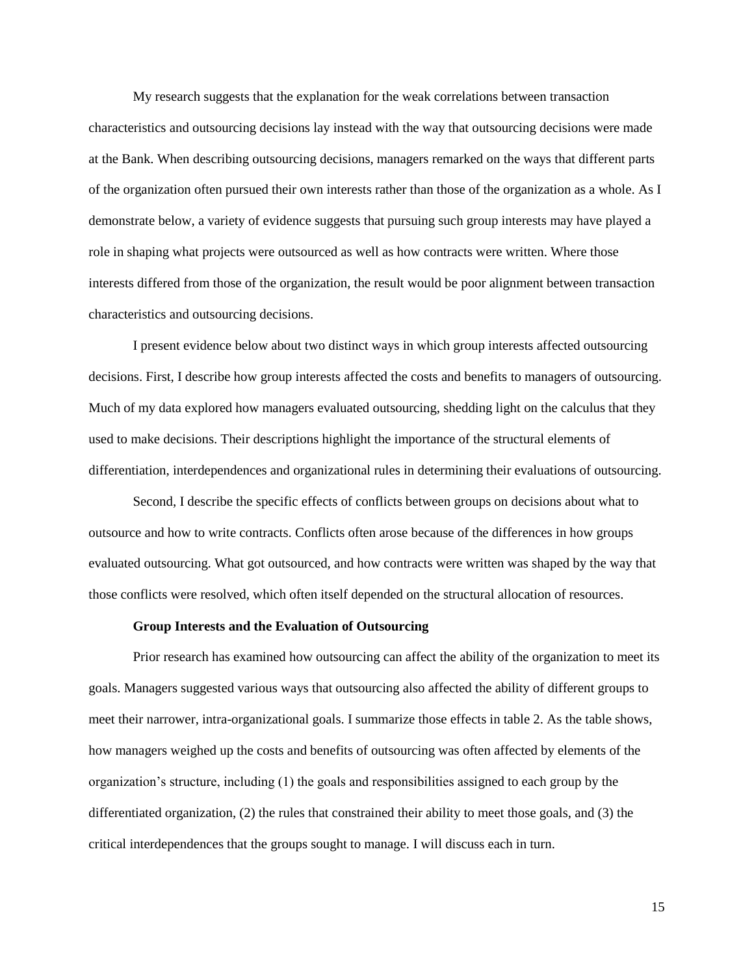My research suggests that the explanation for the weak correlations between transaction characteristics and outsourcing decisions lay instead with the way that outsourcing decisions were made at the Bank. When describing outsourcing decisions, managers remarked on the ways that different parts of the organization often pursued their own interests rather than those of the organization as a whole. As I demonstrate below, a variety of evidence suggests that pursuing such group interests may have played a role in shaping what projects were outsourced as well as how contracts were written. Where those interests differed from those of the organization, the result would be poor alignment between transaction characteristics and outsourcing decisions.

I present evidence below about two distinct ways in which group interests affected outsourcing decisions. First, I describe how group interests affected the costs and benefits to managers of outsourcing. Much of my data explored how managers evaluated outsourcing, shedding light on the calculus that they used to make decisions. Their descriptions highlight the importance of the structural elements of differentiation, interdependences and organizational rules in determining their evaluations of outsourcing.

Second, I describe the specific effects of conflicts between groups on decisions about what to outsource and how to write contracts. Conflicts often arose because of the differences in how groups evaluated outsourcing. What got outsourced, and how contracts were written was shaped by the way that those conflicts were resolved, which often itself depended on the structural allocation of resources.

#### **Group Interests and the Evaluation of Outsourcing**

Prior research has examined how outsourcing can affect the ability of the organization to meet its goals. Managers suggested various ways that outsourcing also affected the ability of different groups to meet their narrower, intra-organizational goals. I summarize those effects in table 2. As the table shows, how managers weighed up the costs and benefits of outsourcing was often affected by elements of the organization's structure, including (1) the goals and responsibilities assigned to each group by the differentiated organization, (2) the rules that constrained their ability to meet those goals, and (3) the critical interdependences that the groups sought to manage. I will discuss each in turn.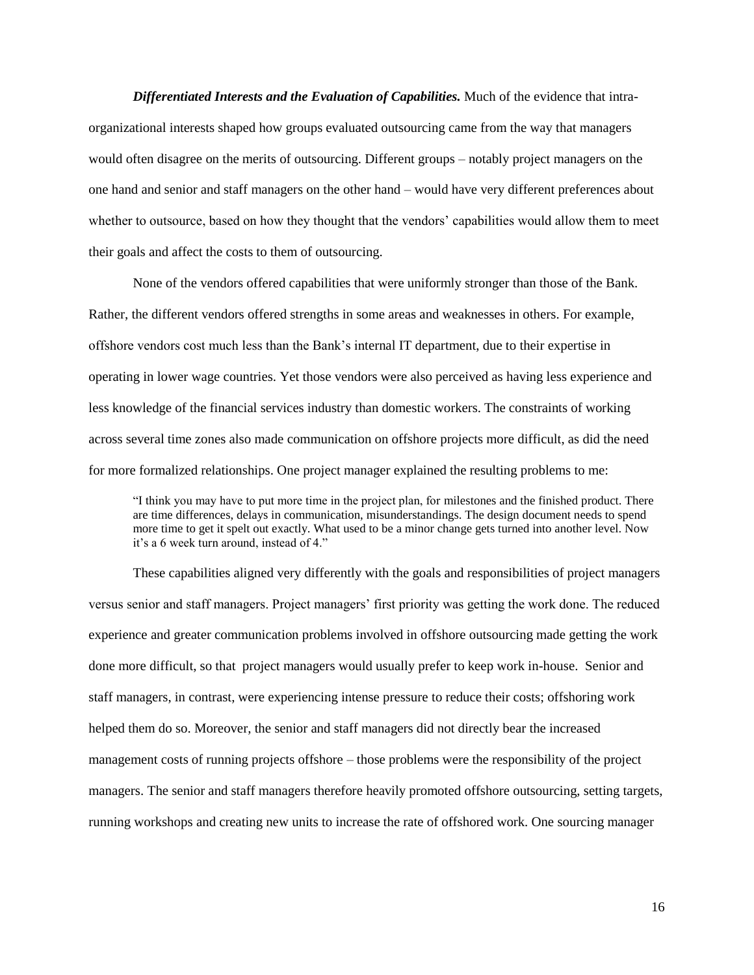*Differentiated Interests and the Evaluation of Capabilities.* Much of the evidence that intraorganizational interests shaped how groups evaluated outsourcing came from the way that managers would often disagree on the merits of outsourcing. Different groups – notably project managers on the one hand and senior and staff managers on the other hand – would have very different preferences about whether to outsource, based on how they thought that the vendors' capabilities would allow them to meet their goals and affect the costs to them of outsourcing.

None of the vendors offered capabilities that were uniformly stronger than those of the Bank. Rather, the different vendors offered strengths in some areas and weaknesses in others. For example, offshore vendors cost much less than the Bank's internal IT department, due to their expertise in operating in lower wage countries. Yet those vendors were also perceived as having less experience and less knowledge of the financial services industry than domestic workers. The constraints of working across several time zones also made communication on offshore projects more difficult, as did the need for more formalized relationships. One project manager explained the resulting problems to me:

"I think you may have to put more time in the project plan, for milestones and the finished product. There are time differences, delays in communication, misunderstandings. The design document needs to spend more time to get it spelt out exactly. What used to be a minor change gets turned into another level. Now it's a 6 week turn around, instead of 4."

These capabilities aligned very differently with the goals and responsibilities of project managers versus senior and staff managers. Project managers' first priority was getting the work done. The reduced experience and greater communication problems involved in offshore outsourcing made getting the work done more difficult, so that project managers would usually prefer to keep work in-house. Senior and staff managers, in contrast, were experiencing intense pressure to reduce their costs; offshoring work helped them do so. Moreover, the senior and staff managers did not directly bear the increased management costs of running projects offshore – those problems were the responsibility of the project managers. The senior and staff managers therefore heavily promoted offshore outsourcing, setting targets, running workshops and creating new units to increase the rate of offshored work. One sourcing manager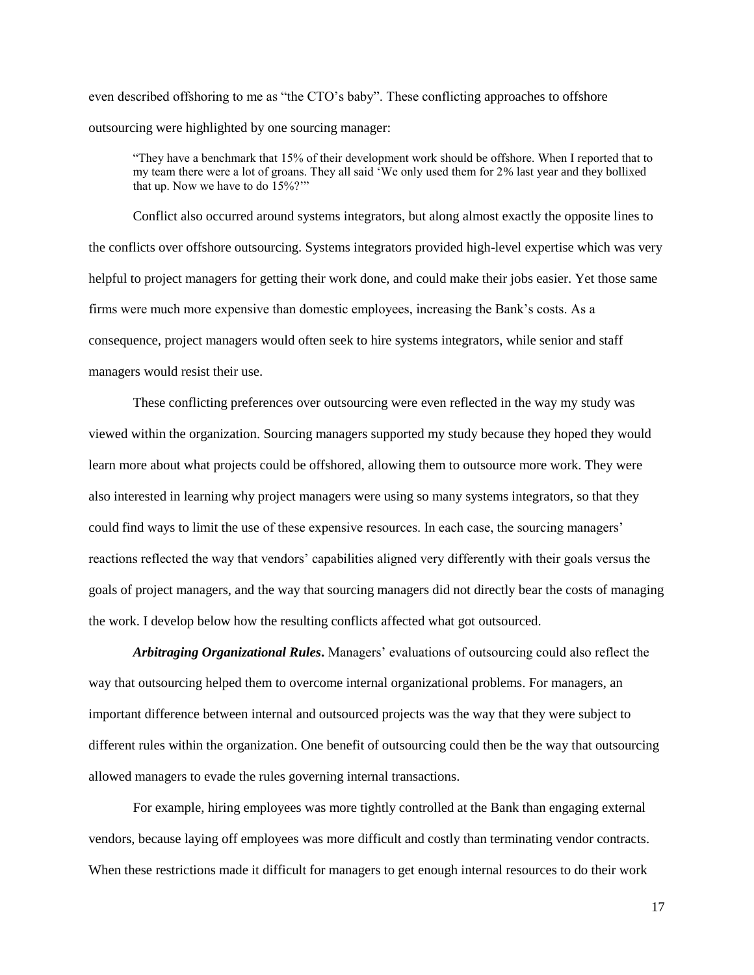even described offshoring to me as "the CTO's baby". These conflicting approaches to offshore outsourcing were highlighted by one sourcing manager:

"They have a benchmark that 15% of their development work should be offshore. When I reported that to my team there were a lot of groans. They all said 'We only used them for 2% last year and they bollixed that up. Now we have to do 15%?'"

Conflict also occurred around systems integrators, but along almost exactly the opposite lines to the conflicts over offshore outsourcing. Systems integrators provided high-level expertise which was very helpful to project managers for getting their work done, and could make their jobs easier. Yet those same firms were much more expensive than domestic employees, increasing the Bank's costs. As a consequence, project managers would often seek to hire systems integrators, while senior and staff managers would resist their use.

These conflicting preferences over outsourcing were even reflected in the way my study was viewed within the organization. Sourcing managers supported my study because they hoped they would learn more about what projects could be offshored, allowing them to outsource more work. They were also interested in learning why project managers were using so many systems integrators, so that they could find ways to limit the use of these expensive resources. In each case, the sourcing managers' reactions reflected the way that vendors' capabilities aligned very differently with their goals versus the goals of project managers, and the way that sourcing managers did not directly bear the costs of managing the work. I develop below how the resulting conflicts affected what got outsourced.

*Arbitraging Organizational Rules***.** Managers' evaluations of outsourcing could also reflect the way that outsourcing helped them to overcome internal organizational problems. For managers, an important difference between internal and outsourced projects was the way that they were subject to different rules within the organization. One benefit of outsourcing could then be the way that outsourcing allowed managers to evade the rules governing internal transactions.

For example, hiring employees was more tightly controlled at the Bank than engaging external vendors, because laying off employees was more difficult and costly than terminating vendor contracts. When these restrictions made it difficult for managers to get enough internal resources to do their work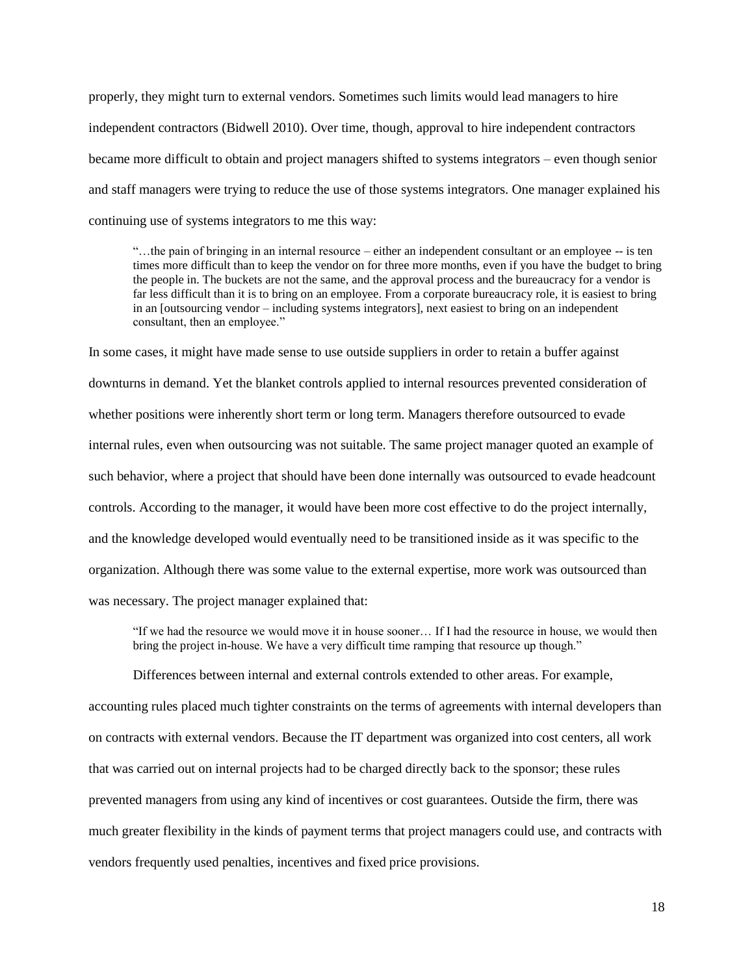properly, they might turn to external vendors. Sometimes such limits would lead managers to hire independent contractors (Bidwell 2010). Over time, though, approval to hire independent contractors became more difficult to obtain and project managers shifted to systems integrators – even though senior and staff managers were trying to reduce the use of those systems integrators. One manager explained his continuing use of systems integrators to me this way:

"…the pain of bringing in an internal resource – either an independent consultant or an employee -- is ten times more difficult than to keep the vendor on for three more months, even if you have the budget to bring the people in. The buckets are not the same, and the approval process and the bureaucracy for a vendor is far less difficult than it is to bring on an employee. From a corporate bureaucracy role, it is easiest to bring in an [outsourcing vendor – including systems integrators], next easiest to bring on an independent consultant, then an employee."

In some cases, it might have made sense to use outside suppliers in order to retain a buffer against downturns in demand. Yet the blanket controls applied to internal resources prevented consideration of whether positions were inherently short term or long term. Managers therefore outsourced to evade internal rules, even when outsourcing was not suitable. The same project manager quoted an example of such behavior, where a project that should have been done internally was outsourced to evade headcount controls. According to the manager, it would have been more cost effective to do the project internally, and the knowledge developed would eventually need to be transitioned inside as it was specific to the organization. Although there was some value to the external expertise, more work was outsourced than was necessary. The project manager explained that:

"If we had the resource we would move it in house sooner… If I had the resource in house, we would then bring the project in-house. We have a very difficult time ramping that resource up though."

Differences between internal and external controls extended to other areas. For example,

accounting rules placed much tighter constraints on the terms of agreements with internal developers than on contracts with external vendors. Because the IT department was organized into cost centers, all work that was carried out on internal projects had to be charged directly back to the sponsor; these rules prevented managers from using any kind of incentives or cost guarantees. Outside the firm, there was much greater flexibility in the kinds of payment terms that project managers could use, and contracts with vendors frequently used penalties, incentives and fixed price provisions.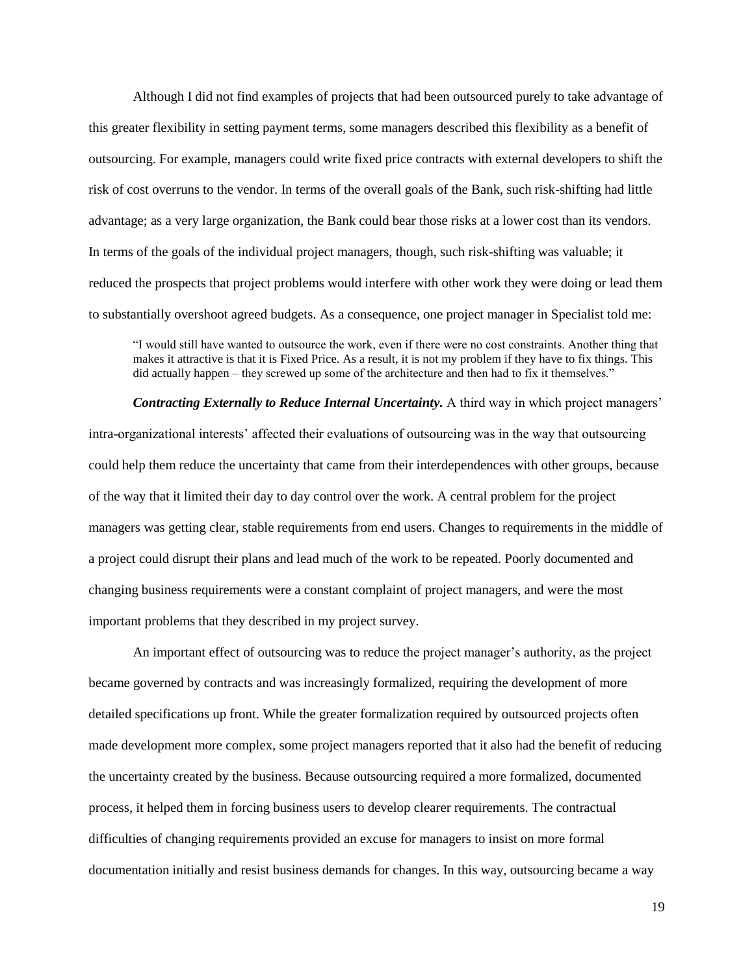Although I did not find examples of projects that had been outsourced purely to take advantage of this greater flexibility in setting payment terms, some managers described this flexibility as a benefit of outsourcing. For example, managers could write fixed price contracts with external developers to shift the risk of cost overruns to the vendor. In terms of the overall goals of the Bank, such risk-shifting had little advantage; as a very large organization, the Bank could bear those risks at a lower cost than its vendors. In terms of the goals of the individual project managers, though, such risk-shifting was valuable; it reduced the prospects that project problems would interfere with other work they were doing or lead them to substantially overshoot agreed budgets. As a consequence, one project manager in Specialist told me:

"I would still have wanted to outsource the work, even if there were no cost constraints. Another thing that makes it attractive is that it is Fixed Price. As a result, it is not my problem if they have to fix things. This did actually happen – they screwed up some of the architecture and then had to fix it themselves."

**Contracting Externally to Reduce Internal Uncertainty.** A third way in which project managers' intra-organizational interests' affected their evaluations of outsourcing was in the way that outsourcing could help them reduce the uncertainty that came from their interdependences with other groups, because of the way that it limited their day to day control over the work. A central problem for the project managers was getting clear, stable requirements from end users. Changes to requirements in the middle of a project could disrupt their plans and lead much of the work to be repeated. Poorly documented and changing business requirements were a constant complaint of project managers, and were the most important problems that they described in my project survey.

An important effect of outsourcing was to reduce the project manager's authority, as the project became governed by contracts and was increasingly formalized, requiring the development of more detailed specifications up front. While the greater formalization required by outsourced projects often made development more complex, some project managers reported that it also had the benefit of reducing the uncertainty created by the business. Because outsourcing required a more formalized, documented process, it helped them in forcing business users to develop clearer requirements. The contractual difficulties of changing requirements provided an excuse for managers to insist on more formal documentation initially and resist business demands for changes. In this way, outsourcing became a way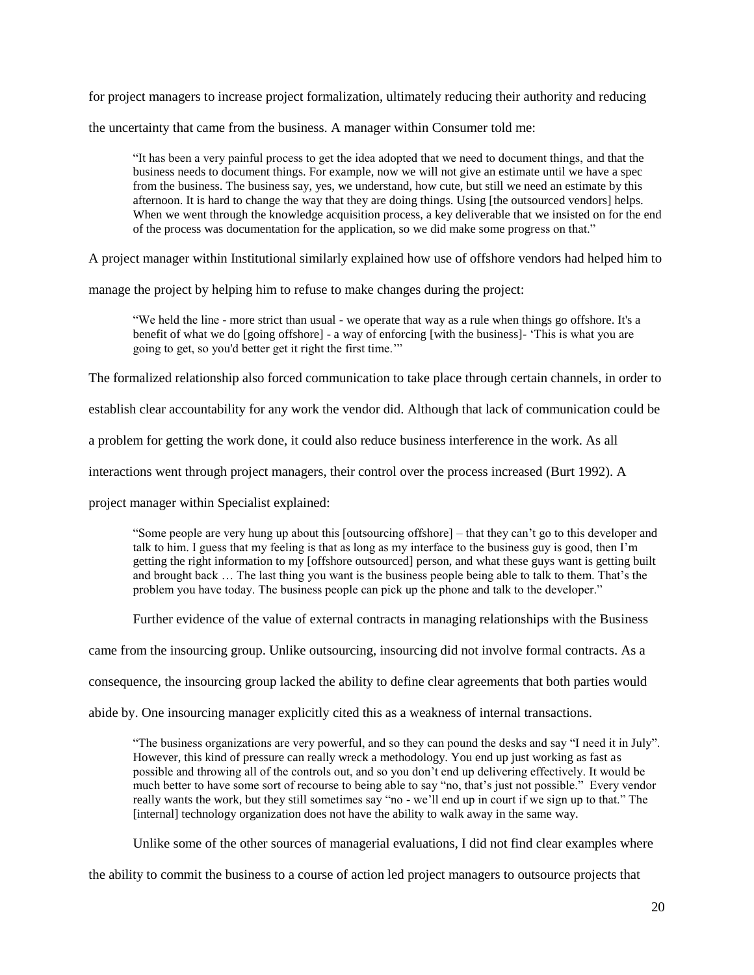for project managers to increase project formalization, ultimately reducing their authority and reducing

the uncertainty that came from the business. A manager within Consumer told me:

"It has been a very painful process to get the idea adopted that we need to document things, and that the business needs to document things. For example, now we will not give an estimate until we have a spec from the business. The business say, yes, we understand, how cute, but still we need an estimate by this afternoon. It is hard to change the way that they are doing things. Using [the outsourced vendors] helps. When we went through the knowledge acquisition process, a key deliverable that we insisted on for the end of the process was documentation for the application, so we did make some progress on that."

A project manager within Institutional similarly explained how use of offshore vendors had helped him to

manage the project by helping him to refuse to make changes during the project:

"We held the line - more strict than usual - we operate that way as a rule when things go offshore. It's a benefit of what we do [going offshore] - a way of enforcing [with the business]- 'This is what you are going to get, so you'd better get it right the first time.'"

The formalized relationship also forced communication to take place through certain channels, in order to

establish clear accountability for any work the vendor did. Although that lack of communication could be

a problem for getting the work done, it could also reduce business interference in the work. As all

interactions went through project managers, their control over the process increased (Burt 1992). A

project manager within Specialist explained:

"Some people are very hung up about this [outsourcing offshore] – that they can't go to this developer and talk to him. I guess that my feeling is that as long as my interface to the business guy is good, then I'm getting the right information to my [offshore outsourced] person, and what these guys want is getting built and brought back … The last thing you want is the business people being able to talk to them. That's the problem you have today. The business people can pick up the phone and talk to the developer."

Further evidence of the value of external contracts in managing relationships with the Business

came from the insourcing group. Unlike outsourcing, insourcing did not involve formal contracts. As a

consequence, the insourcing group lacked the ability to define clear agreements that both parties would

abide by. One insourcing manager explicitly cited this as a weakness of internal transactions.

"The business organizations are very powerful, and so they can pound the desks and say "I need it in July". However, this kind of pressure can really wreck a methodology. You end up just working as fast as possible and throwing all of the controls out, and so you don't end up delivering effectively. It would be much better to have some sort of recourse to being able to say "no, that's just not possible." Every vendor really wants the work, but they still sometimes say "no - we'll end up in court if we sign up to that." The [internal] technology organization does not have the ability to walk away in the same way.

Unlike some of the other sources of managerial evaluations, I did not find clear examples where

the ability to commit the business to a course of action led project managers to outsource projects that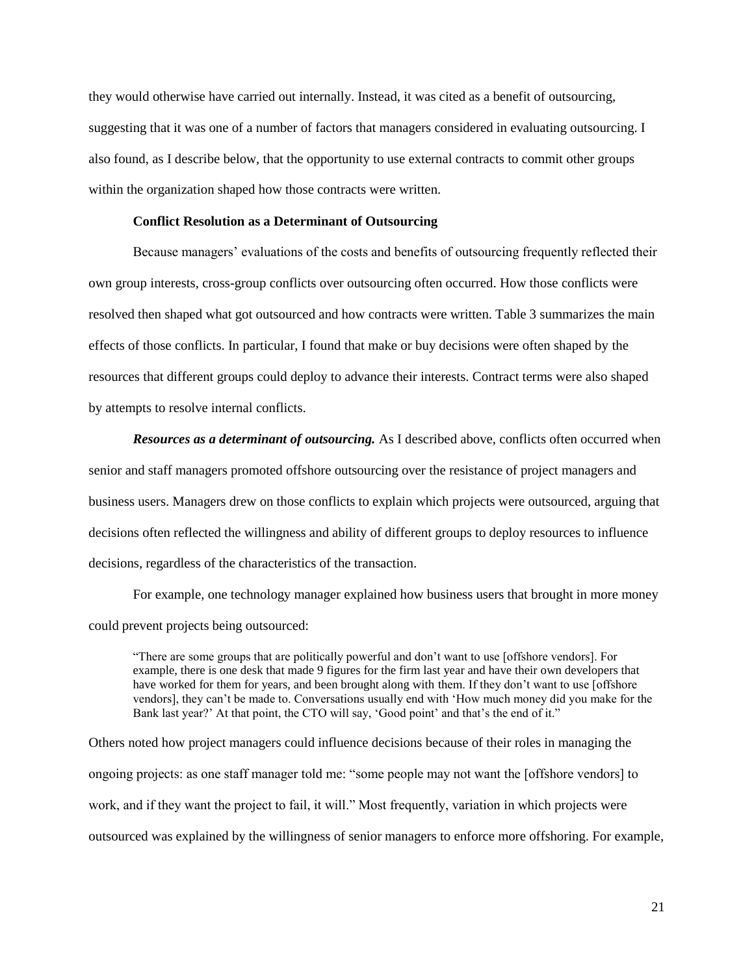they would otherwise have carried out internally. Instead, it was cited as a benefit of outsourcing, suggesting that it was one of a number of factors that managers considered in evaluating outsourcing. I also found, as I describe below, that the opportunity to use external contracts to commit other groups within the organization shaped how those contracts were written.

#### **Conflict Resolution as a Determinant of Outsourcing**

Because managers' evaluations of the costs and benefits of outsourcing frequently reflected their own group interests, cross-group conflicts over outsourcing often occurred. How those conflicts were resolved then shaped what got outsourced and how contracts were written. Table 3 summarizes the main effects of those conflicts. In particular, I found that make or buy decisions were often shaped by the resources that different groups could deploy to advance their interests. Contract terms were also shaped by attempts to resolve internal conflicts.

*Resources as a determinant of outsourcing.* As I described above, conflicts often occurred when senior and staff managers promoted offshore outsourcing over the resistance of project managers and business users. Managers drew on those conflicts to explain which projects were outsourced, arguing that decisions often reflected the willingness and ability of different groups to deploy resources to influence decisions, regardless of the characteristics of the transaction.

For example, one technology manager explained how business users that brought in more money could prevent projects being outsourced:

"There are some groups that are politically powerful and don't want to use [offshore vendors]. For example, there is one desk that made 9 figures for the firm last year and have their own developers that have worked for them for years, and been brought along with them. If they don't want to use [offshore vendors], they can't be made to. Conversations usually end with 'How much money did you make for the Bank last year?' At that point, the CTO will say, 'Good point' and that's the end of it."

Others noted how project managers could influence decisions because of their roles in managing the ongoing projects: as one staff manager told me: "some people may not want the [offshore vendors] to work, and if they want the project to fail, it will." Most frequently, variation in which projects were outsourced was explained by the willingness of senior managers to enforce more offshoring. For example,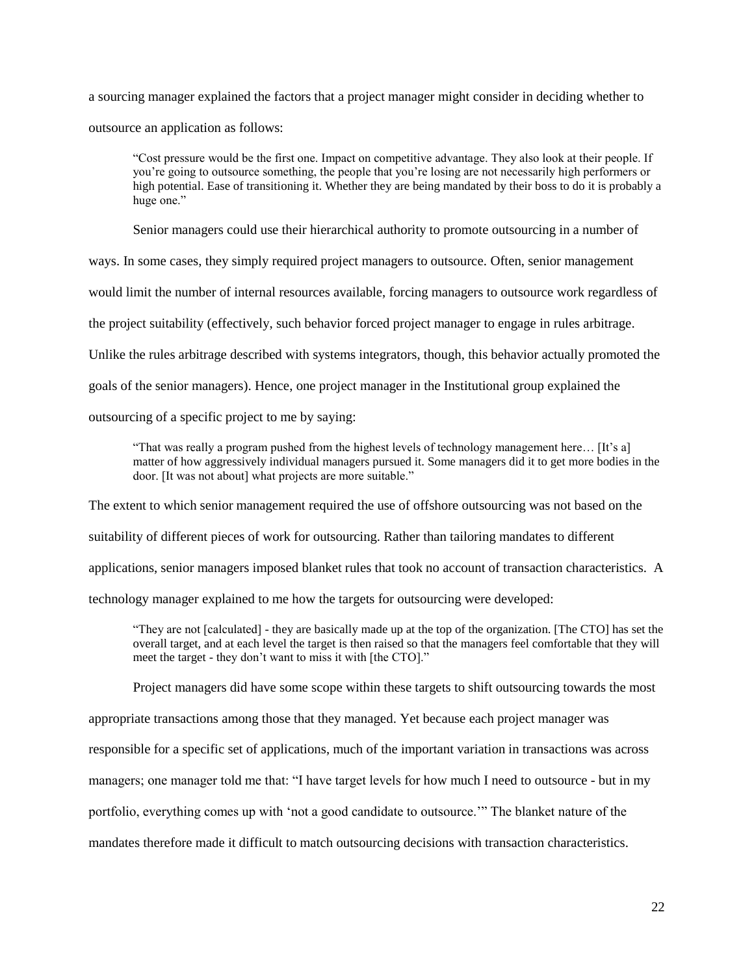a sourcing manager explained the factors that a project manager might consider in deciding whether to outsource an application as follows:

"Cost pressure would be the first one. Impact on competitive advantage. They also look at their people. If you're going to outsource something, the people that you're losing are not necessarily high performers or high potential. Ease of transitioning it. Whether they are being mandated by their boss to do it is probably a huge one."

Senior managers could use their hierarchical authority to promote outsourcing in a number of

ways. In some cases, they simply required project managers to outsource. Often, senior management

would limit the number of internal resources available, forcing managers to outsource work regardless of

the project suitability (effectively, such behavior forced project manager to engage in rules arbitrage.

Unlike the rules arbitrage described with systems integrators, though, this behavior actually promoted the

goals of the senior managers). Hence, one project manager in the Institutional group explained the

outsourcing of a specific project to me by saying:

"That was really a program pushed from the highest levels of technology management here… [It's a] matter of how aggressively individual managers pursued it. Some managers did it to get more bodies in the door. [It was not about] what projects are more suitable."

The extent to which senior management required the use of offshore outsourcing was not based on the

suitability of different pieces of work for outsourcing. Rather than tailoring mandates to different

applications, senior managers imposed blanket rules that took no account of transaction characteristics. A

technology manager explained to me how the targets for outsourcing were developed:

"They are not [calculated] - they are basically made up at the top of the organization. [The CTO] has set the overall target, and at each level the target is then raised so that the managers feel comfortable that they will meet the target - they don't want to miss it with [the CTO]."

Project managers did have some scope within these targets to shift outsourcing towards the most

appropriate transactions among those that they managed. Yet because each project manager was

responsible for a specific set of applications, much of the important variation in transactions was across

managers; one manager told me that: "I have target levels for how much I need to outsource - but in my

portfolio, everything comes up with 'not a good candidate to outsource.'" The blanket nature of the

mandates therefore made it difficult to match outsourcing decisions with transaction characteristics.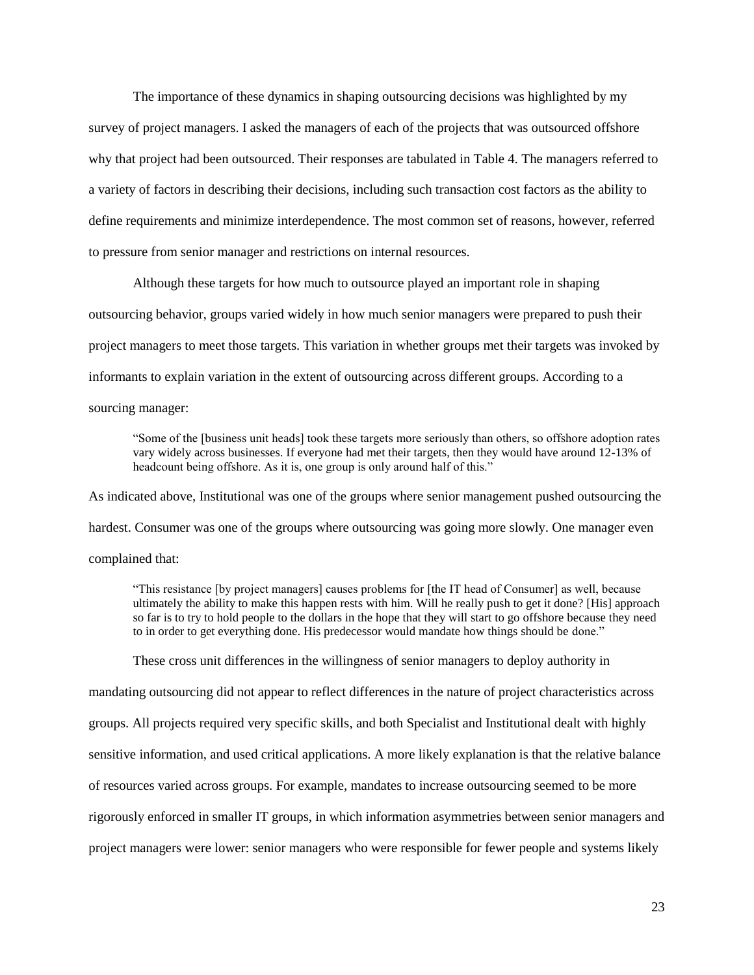The importance of these dynamics in shaping outsourcing decisions was highlighted by my survey of project managers. I asked the managers of each of the projects that was outsourced offshore why that project had been outsourced. Their responses are tabulated in Table 4. The managers referred to a variety of factors in describing their decisions, including such transaction cost factors as the ability to define requirements and minimize interdependence. The most common set of reasons, however, referred to pressure from senior manager and restrictions on internal resources.

Although these targets for how much to outsource played an important role in shaping outsourcing behavior, groups varied widely in how much senior managers were prepared to push their project managers to meet those targets. This variation in whether groups met their targets was invoked by informants to explain variation in the extent of outsourcing across different groups. According to a

sourcing manager:

"Some of the [business unit heads] took these targets more seriously than others, so offshore adoption rates vary widely across businesses. If everyone had met their targets, then they would have around 12-13% of headcount being offshore. As it is, one group is only around half of this."

As indicated above, Institutional was one of the groups where senior management pushed outsourcing the hardest. Consumer was one of the groups where outsourcing was going more slowly. One manager even complained that:

"This resistance [by project managers] causes problems for [the IT head of Consumer] as well, because ultimately the ability to make this happen rests with him. Will he really push to get it done? [His] approach so far is to try to hold people to the dollars in the hope that they will start to go offshore because they need to in order to get everything done. His predecessor would mandate how things should be done."

These cross unit differences in the willingness of senior managers to deploy authority in

mandating outsourcing did not appear to reflect differences in the nature of project characteristics across groups. All projects required very specific skills, and both Specialist and Institutional dealt with highly sensitive information, and used critical applications. A more likely explanation is that the relative balance of resources varied across groups. For example, mandates to increase outsourcing seemed to be more rigorously enforced in smaller IT groups, in which information asymmetries between senior managers and project managers were lower: senior managers who were responsible for fewer people and systems likely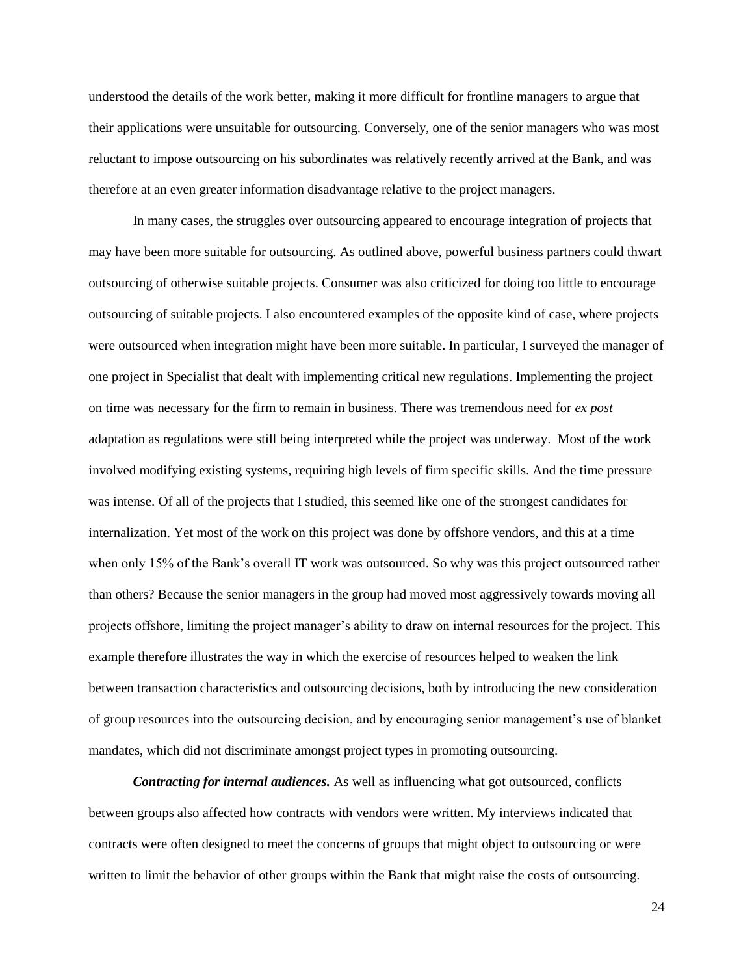understood the details of the work better, making it more difficult for frontline managers to argue that their applications were unsuitable for outsourcing. Conversely, one of the senior managers who was most reluctant to impose outsourcing on his subordinates was relatively recently arrived at the Bank, and was therefore at an even greater information disadvantage relative to the project managers.

In many cases, the struggles over outsourcing appeared to encourage integration of projects that may have been more suitable for outsourcing. As outlined above, powerful business partners could thwart outsourcing of otherwise suitable projects. Consumer was also criticized for doing too little to encourage outsourcing of suitable projects. I also encountered examples of the opposite kind of case, where projects were outsourced when integration might have been more suitable. In particular, I surveyed the manager of one project in Specialist that dealt with implementing critical new regulations. Implementing the project on time was necessary for the firm to remain in business. There was tremendous need for *ex post* adaptation as regulations were still being interpreted while the project was underway. Most of the work involved modifying existing systems, requiring high levels of firm specific skills. And the time pressure was intense. Of all of the projects that I studied, this seemed like one of the strongest candidates for internalization. Yet most of the work on this project was done by offshore vendors, and this at a time when only 15% of the Bank's overall IT work was outsourced. So why was this project outsourced rather than others? Because the senior managers in the group had moved most aggressively towards moving all projects offshore, limiting the project manager's ability to draw on internal resources for the project. This example therefore illustrates the way in which the exercise of resources helped to weaken the link between transaction characteristics and outsourcing decisions, both by introducing the new consideration of group resources into the outsourcing decision, and by encouraging senior management's use of blanket mandates, which did not discriminate amongst project types in promoting outsourcing.

*Contracting for internal audiences.* As well as influencing what got outsourced, conflicts between groups also affected how contracts with vendors were written. My interviews indicated that contracts were often designed to meet the concerns of groups that might object to outsourcing or were written to limit the behavior of other groups within the Bank that might raise the costs of outsourcing.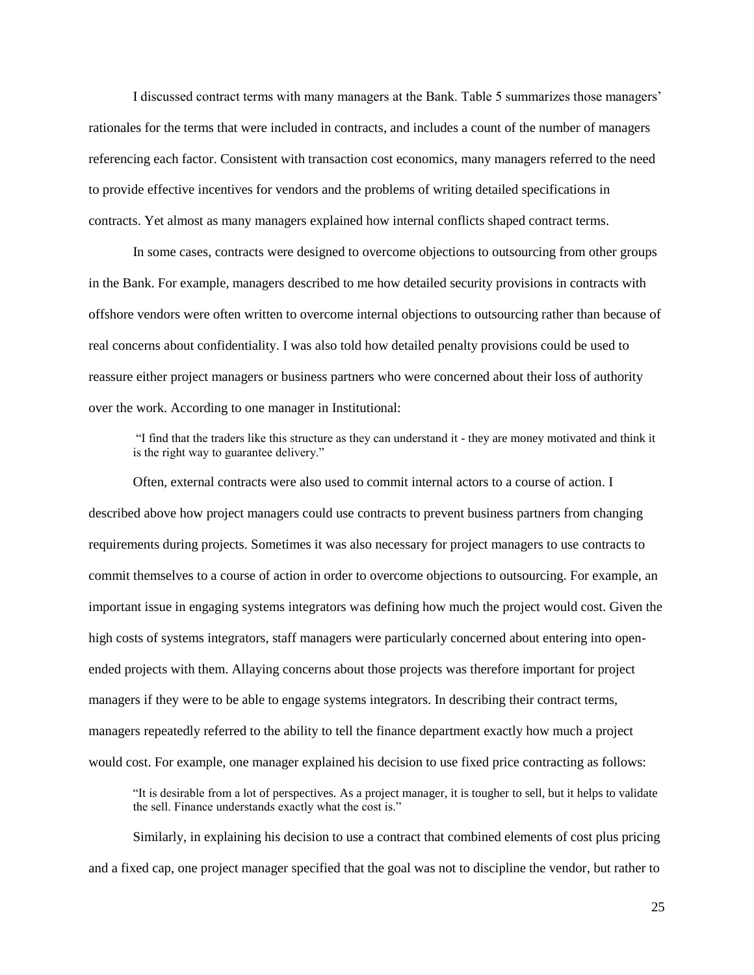I discussed contract terms with many managers at the Bank. Table 5 summarizes those managers' rationales for the terms that were included in contracts, and includes a count of the number of managers referencing each factor. Consistent with transaction cost economics, many managers referred to the need to provide effective incentives for vendors and the problems of writing detailed specifications in contracts. Yet almost as many managers explained how internal conflicts shaped contract terms.

In some cases, contracts were designed to overcome objections to outsourcing from other groups in the Bank. For example, managers described to me how detailed security provisions in contracts with offshore vendors were often written to overcome internal objections to outsourcing rather than because of real concerns about confidentiality. I was also told how detailed penalty provisions could be used to reassure either project managers or business partners who were concerned about their loss of authority over the work. According to one manager in Institutional:

"I find that the traders like this structure as they can understand it - they are money motivated and think it is the right way to guarantee delivery."

Often, external contracts were also used to commit internal actors to a course of action. I described above how project managers could use contracts to prevent business partners from changing requirements during projects. Sometimes it was also necessary for project managers to use contracts to commit themselves to a course of action in order to overcome objections to outsourcing. For example, an important issue in engaging systems integrators was defining how much the project would cost. Given the high costs of systems integrators, staff managers were particularly concerned about entering into openended projects with them. Allaying concerns about those projects was therefore important for project managers if they were to be able to engage systems integrators. In describing their contract terms, managers repeatedly referred to the ability to tell the finance department exactly how much a project would cost. For example, one manager explained his decision to use fixed price contracting as follows:

"It is desirable from a lot of perspectives. As a project manager, it is tougher to sell, but it helps to validate the sell. Finance understands exactly what the cost is."

Similarly, in explaining his decision to use a contract that combined elements of cost plus pricing and a fixed cap, one project manager specified that the goal was not to discipline the vendor, but rather to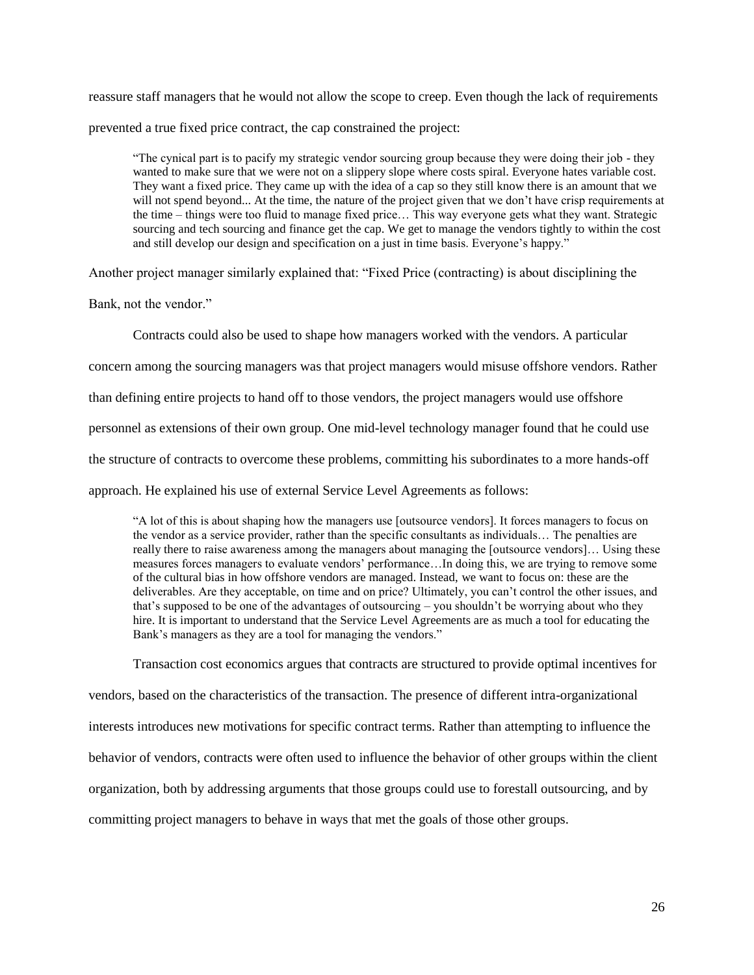reassure staff managers that he would not allow the scope to creep. Even though the lack of requirements prevented a true fixed price contract, the cap constrained the project:

"The cynical part is to pacify my strategic vendor sourcing group because they were doing their job - they wanted to make sure that we were not on a slippery slope where costs spiral. Everyone hates variable cost. They want a fixed price. They came up with the idea of a cap so they still know there is an amount that we will not spend beyond... At the time, the nature of the project given that we don't have crisp requirements at the time – things were too fluid to manage fixed price… This way everyone gets what they want. Strategic sourcing and tech sourcing and finance get the cap. We get to manage the vendors tightly to within the cost and still develop our design and specification on a just in time basis. Everyone's happy."

Another project manager similarly explained that: "Fixed Price (contracting) is about disciplining the

Bank, not the vendor."

Contracts could also be used to shape how managers worked with the vendors. A particular

concern among the sourcing managers was that project managers would misuse offshore vendors. Rather

than defining entire projects to hand off to those vendors, the project managers would use offshore

personnel as extensions of their own group. One mid-level technology manager found that he could use

the structure of contracts to overcome these problems, committing his subordinates to a more hands-off

approach. He explained his use of external Service Level Agreements as follows:

"A lot of this is about shaping how the managers use [outsource vendors]. It forces managers to focus on the vendor as a service provider, rather than the specific consultants as individuals… The penalties are really there to raise awareness among the managers about managing the [outsource vendors]… Using these measures forces managers to evaluate vendors' performance…In doing this, we are trying to remove some of the cultural bias in how offshore vendors are managed. Instead, we want to focus on: these are the deliverables. Are they acceptable, on time and on price? Ultimately, you can't control the other issues, and that's supposed to be one of the advantages of outsourcing – you shouldn't be worrying about who they hire. It is important to understand that the Service Level Agreements are as much a tool for educating the Bank's managers as they are a tool for managing the vendors."

Transaction cost economics argues that contracts are structured to provide optimal incentives for vendors, based on the characteristics of the transaction. The presence of different intra-organizational interests introduces new motivations for specific contract terms. Rather than attempting to influence the behavior of vendors, contracts were often used to influence the behavior of other groups within the client organization, both by addressing arguments that those groups could use to forestall outsourcing, and by committing project managers to behave in ways that met the goals of those other groups.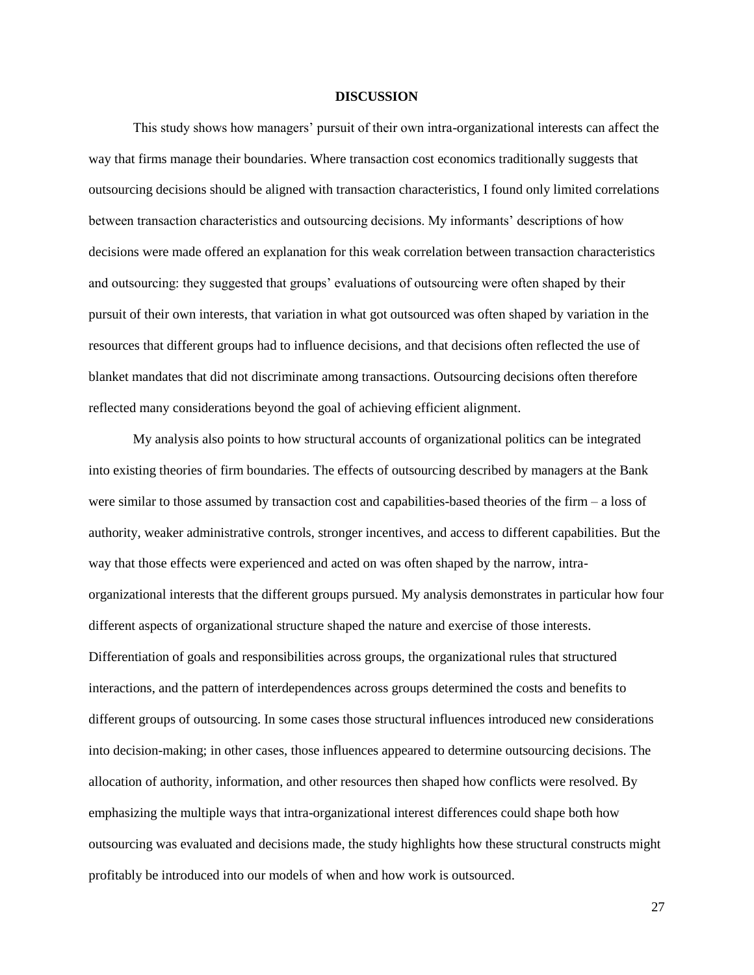#### **DISCUSSION**

This study shows how managers' pursuit of their own intra-organizational interests can affect the way that firms manage their boundaries. Where transaction cost economics traditionally suggests that outsourcing decisions should be aligned with transaction characteristics, I found only limited correlations between transaction characteristics and outsourcing decisions. My informants' descriptions of how decisions were made offered an explanation for this weak correlation between transaction characteristics and outsourcing: they suggested that groups' evaluations of outsourcing were often shaped by their pursuit of their own interests, that variation in what got outsourced was often shaped by variation in the resources that different groups had to influence decisions, and that decisions often reflected the use of blanket mandates that did not discriminate among transactions. Outsourcing decisions often therefore reflected many considerations beyond the goal of achieving efficient alignment.

My analysis also points to how structural accounts of organizational politics can be integrated into existing theories of firm boundaries. The effects of outsourcing described by managers at the Bank were similar to those assumed by transaction cost and capabilities-based theories of the firm – a loss of authority, weaker administrative controls, stronger incentives, and access to different capabilities. But the way that those effects were experienced and acted on was often shaped by the narrow, intraorganizational interests that the different groups pursued. My analysis demonstrates in particular how four different aspects of organizational structure shaped the nature and exercise of those interests. Differentiation of goals and responsibilities across groups, the organizational rules that structured interactions, and the pattern of interdependences across groups determined the costs and benefits to different groups of outsourcing. In some cases those structural influences introduced new considerations into decision-making; in other cases, those influences appeared to determine outsourcing decisions. The allocation of authority, information, and other resources then shaped how conflicts were resolved. By emphasizing the multiple ways that intra-organizational interest differences could shape both how outsourcing was evaluated and decisions made, the study highlights how these structural constructs might profitably be introduced into our models of when and how work is outsourced.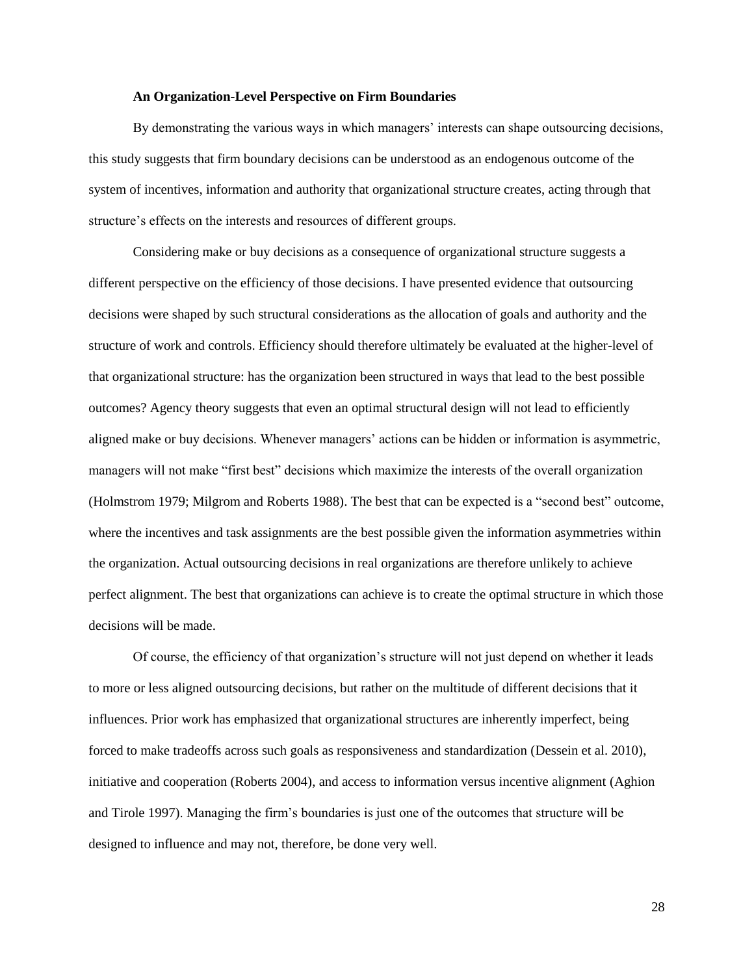#### **An Organization-Level Perspective on Firm Boundaries**

By demonstrating the various ways in which managers' interests can shape outsourcing decisions, this study suggests that firm boundary decisions can be understood as an endogenous outcome of the system of incentives, information and authority that organizational structure creates, acting through that structure's effects on the interests and resources of different groups.

Considering make or buy decisions as a consequence of organizational structure suggests a different perspective on the efficiency of those decisions. I have presented evidence that outsourcing decisions were shaped by such structural considerations as the allocation of goals and authority and the structure of work and controls. Efficiency should therefore ultimately be evaluated at the higher-level of that organizational structure: has the organization been structured in ways that lead to the best possible outcomes? Agency theory suggests that even an optimal structural design will not lead to efficiently aligned make or buy decisions. Whenever managers' actions can be hidden or information is asymmetric, managers will not make "first best" decisions which maximize the interests of the overall organization (Holmstrom 1979; Milgrom and Roberts 1988). The best that can be expected is a "second best" outcome, where the incentives and task assignments are the best possible given the information asymmetries within the organization. Actual outsourcing decisions in real organizations are therefore unlikely to achieve perfect alignment. The best that organizations can achieve is to create the optimal structure in which those decisions will be made.

Of course, the efficiency of that organization's structure will not just depend on whether it leads to more or less aligned outsourcing decisions, but rather on the multitude of different decisions that it influences. Prior work has emphasized that organizational structures are inherently imperfect, being forced to make tradeoffs across such goals as responsiveness and standardization (Dessein et al. 2010), initiative and cooperation (Roberts 2004), and access to information versus incentive alignment (Aghion and Tirole 1997). Managing the firm's boundaries is just one of the outcomes that structure will be designed to influence and may not, therefore, be done very well.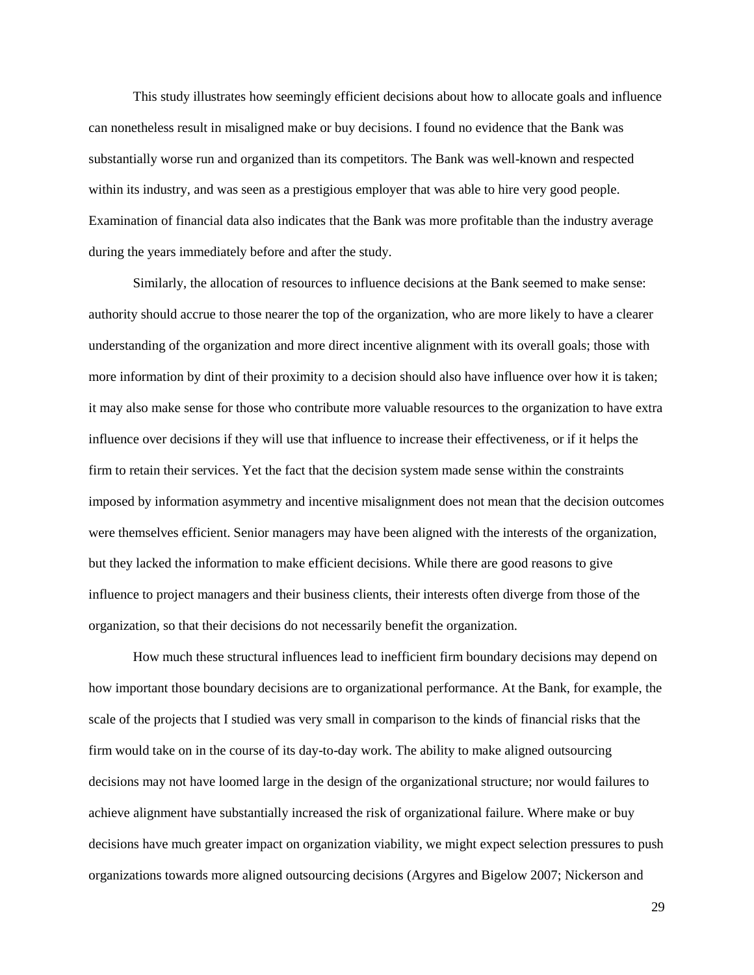This study illustrates how seemingly efficient decisions about how to allocate goals and influence can nonetheless result in misaligned make or buy decisions. I found no evidence that the Bank was substantially worse run and organized than its competitors. The Bank was well-known and respected within its industry, and was seen as a prestigious employer that was able to hire very good people. Examination of financial data also indicates that the Bank was more profitable than the industry average during the years immediately before and after the study.

Similarly, the allocation of resources to influence decisions at the Bank seemed to make sense: authority should accrue to those nearer the top of the organization, who are more likely to have a clearer understanding of the organization and more direct incentive alignment with its overall goals; those with more information by dint of their proximity to a decision should also have influence over how it is taken; it may also make sense for those who contribute more valuable resources to the organization to have extra influence over decisions if they will use that influence to increase their effectiveness, or if it helps the firm to retain their services. Yet the fact that the decision system made sense within the constraints imposed by information asymmetry and incentive misalignment does not mean that the decision outcomes were themselves efficient. Senior managers may have been aligned with the interests of the organization, but they lacked the information to make efficient decisions. While there are good reasons to give influence to project managers and their business clients, their interests often diverge from those of the organization, so that their decisions do not necessarily benefit the organization.

How much these structural influences lead to inefficient firm boundary decisions may depend on how important those boundary decisions are to organizational performance. At the Bank, for example, the scale of the projects that I studied was very small in comparison to the kinds of financial risks that the firm would take on in the course of its day-to-day work. The ability to make aligned outsourcing decisions may not have loomed large in the design of the organizational structure; nor would failures to achieve alignment have substantially increased the risk of organizational failure. Where make or buy decisions have much greater impact on organization viability, we might expect selection pressures to push organizations towards more aligned outsourcing decisions (Argyres and Bigelow 2007; Nickerson and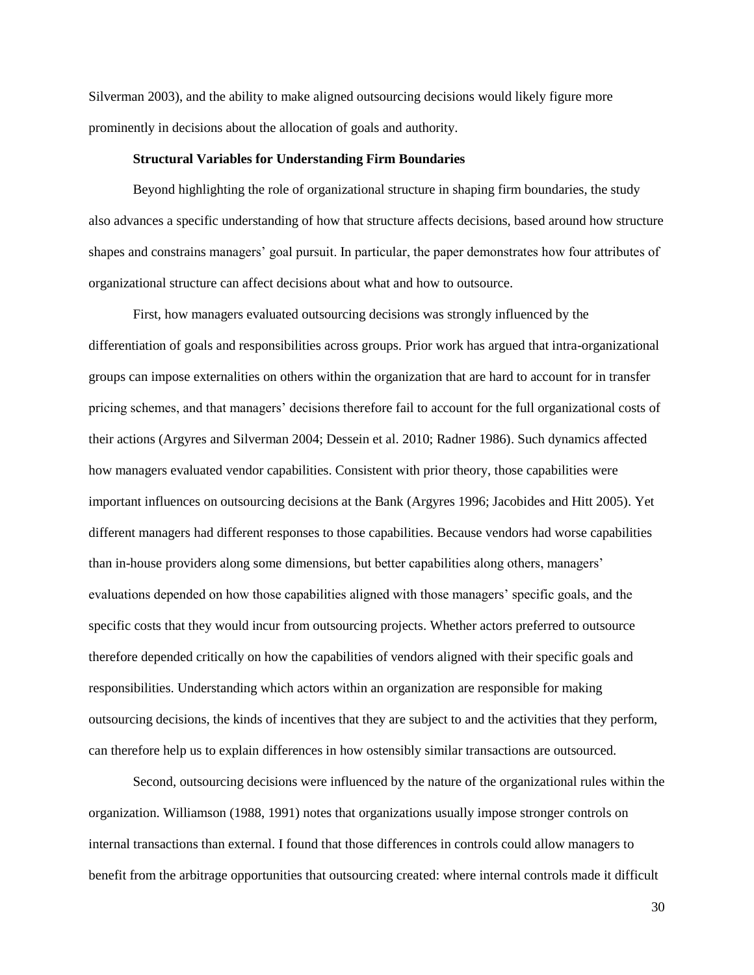Silverman 2003), and the ability to make aligned outsourcing decisions would likely figure more prominently in decisions about the allocation of goals and authority.

#### **Structural Variables for Understanding Firm Boundaries**

Beyond highlighting the role of organizational structure in shaping firm boundaries, the study also advances a specific understanding of how that structure affects decisions, based around how structure shapes and constrains managers' goal pursuit. In particular, the paper demonstrates how four attributes of organizational structure can affect decisions about what and how to outsource.

First, how managers evaluated outsourcing decisions was strongly influenced by the differentiation of goals and responsibilities across groups. Prior work has argued that intra-organizational groups can impose externalities on others within the organization that are hard to account for in transfer pricing schemes, and that managers' decisions therefore fail to account for the full organizational costs of their actions (Argyres and Silverman 2004; Dessein et al. 2010; Radner 1986). Such dynamics affected how managers evaluated vendor capabilities. Consistent with prior theory, those capabilities were important influences on outsourcing decisions at the Bank (Argyres 1996; Jacobides and Hitt 2005). Yet different managers had different responses to those capabilities. Because vendors had worse capabilities than in-house providers along some dimensions, but better capabilities along others, managers' evaluations depended on how those capabilities aligned with those managers' specific goals, and the specific costs that they would incur from outsourcing projects. Whether actors preferred to outsource therefore depended critically on how the capabilities of vendors aligned with their specific goals and responsibilities. Understanding which actors within an organization are responsible for making outsourcing decisions, the kinds of incentives that they are subject to and the activities that they perform, can therefore help us to explain differences in how ostensibly similar transactions are outsourced.

Second, outsourcing decisions were influenced by the nature of the organizational rules within the organization. Williamson (1988, 1991) notes that organizations usually impose stronger controls on internal transactions than external. I found that those differences in controls could allow managers to benefit from the arbitrage opportunities that outsourcing created: where internal controls made it difficult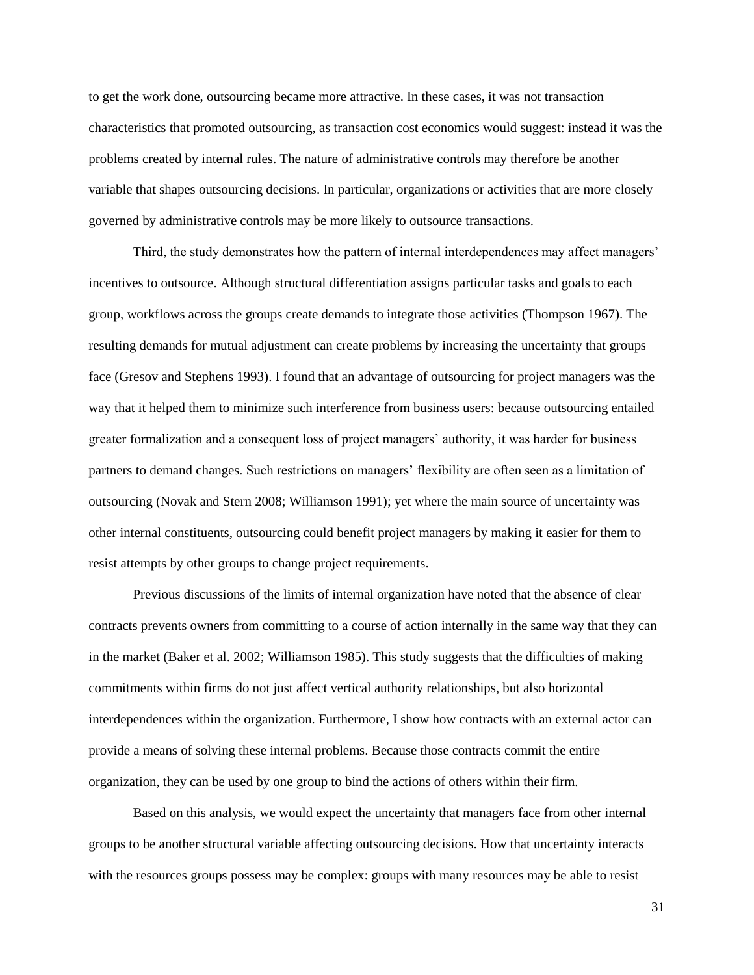to get the work done, outsourcing became more attractive. In these cases, it was not transaction characteristics that promoted outsourcing, as transaction cost economics would suggest: instead it was the problems created by internal rules. The nature of administrative controls may therefore be another variable that shapes outsourcing decisions. In particular, organizations or activities that are more closely governed by administrative controls may be more likely to outsource transactions.

Third, the study demonstrates how the pattern of internal interdependences may affect managers' incentives to outsource. Although structural differentiation assigns particular tasks and goals to each group, workflows across the groups create demands to integrate those activities (Thompson 1967). The resulting demands for mutual adjustment can create problems by increasing the uncertainty that groups face (Gresov and Stephens 1993). I found that an advantage of outsourcing for project managers was the way that it helped them to minimize such interference from business users: because outsourcing entailed greater formalization and a consequent loss of project managers' authority, it was harder for business partners to demand changes. Such restrictions on managers' flexibility are often seen as a limitation of outsourcing (Novak and Stern 2008; Williamson 1991); yet where the main source of uncertainty was other internal constituents, outsourcing could benefit project managers by making it easier for them to resist attempts by other groups to change project requirements.

Previous discussions of the limits of internal organization have noted that the absence of clear contracts prevents owners from committing to a course of action internally in the same way that they can in the market (Baker et al. 2002; Williamson 1985). This study suggests that the difficulties of making commitments within firms do not just affect vertical authority relationships, but also horizontal interdependences within the organization. Furthermore, I show how contracts with an external actor can provide a means of solving these internal problems. Because those contracts commit the entire organization, they can be used by one group to bind the actions of others within their firm.

Based on this analysis, we would expect the uncertainty that managers face from other internal groups to be another structural variable affecting outsourcing decisions. How that uncertainty interacts with the resources groups possess may be complex: groups with many resources may be able to resist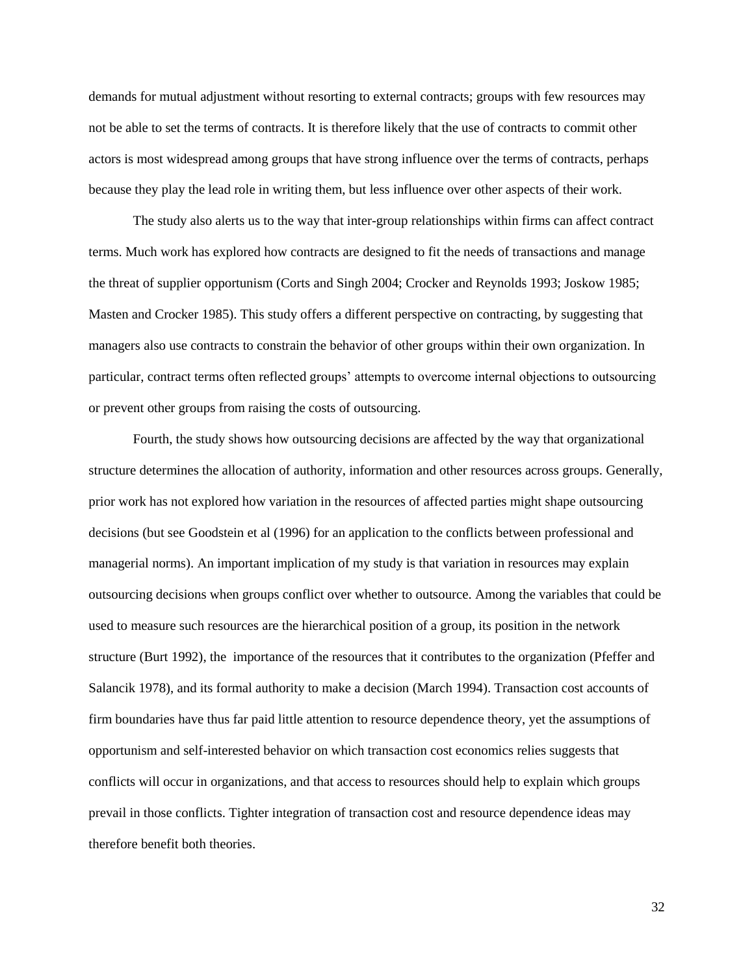demands for mutual adjustment without resorting to external contracts; groups with few resources may not be able to set the terms of contracts. It is therefore likely that the use of contracts to commit other actors is most widespread among groups that have strong influence over the terms of contracts, perhaps because they play the lead role in writing them, but less influence over other aspects of their work.

The study also alerts us to the way that inter-group relationships within firms can affect contract terms. Much work has explored how contracts are designed to fit the needs of transactions and manage the threat of supplier opportunism (Corts and Singh 2004; Crocker and Reynolds 1993; Joskow 1985; Masten and Crocker 1985). This study offers a different perspective on contracting, by suggesting that managers also use contracts to constrain the behavior of other groups within their own organization. In particular, contract terms often reflected groups' attempts to overcome internal objections to outsourcing or prevent other groups from raising the costs of outsourcing.

Fourth, the study shows how outsourcing decisions are affected by the way that organizational structure determines the allocation of authority, information and other resources across groups. Generally, prior work has not explored how variation in the resources of affected parties might shape outsourcing decisions (but see Goodstein et al (1996) for an application to the conflicts between professional and managerial norms). An important implication of my study is that variation in resources may explain outsourcing decisions when groups conflict over whether to outsource. Among the variables that could be used to measure such resources are the hierarchical position of a group, its position in the network structure (Burt 1992), the importance of the resources that it contributes to the organization (Pfeffer and Salancik 1978), and its formal authority to make a decision (March 1994). Transaction cost accounts of firm boundaries have thus far paid little attention to resource dependence theory, yet the assumptions of opportunism and self-interested behavior on which transaction cost economics relies suggests that conflicts will occur in organizations, and that access to resources should help to explain which groups prevail in those conflicts. Tighter integration of transaction cost and resource dependence ideas may therefore benefit both theories.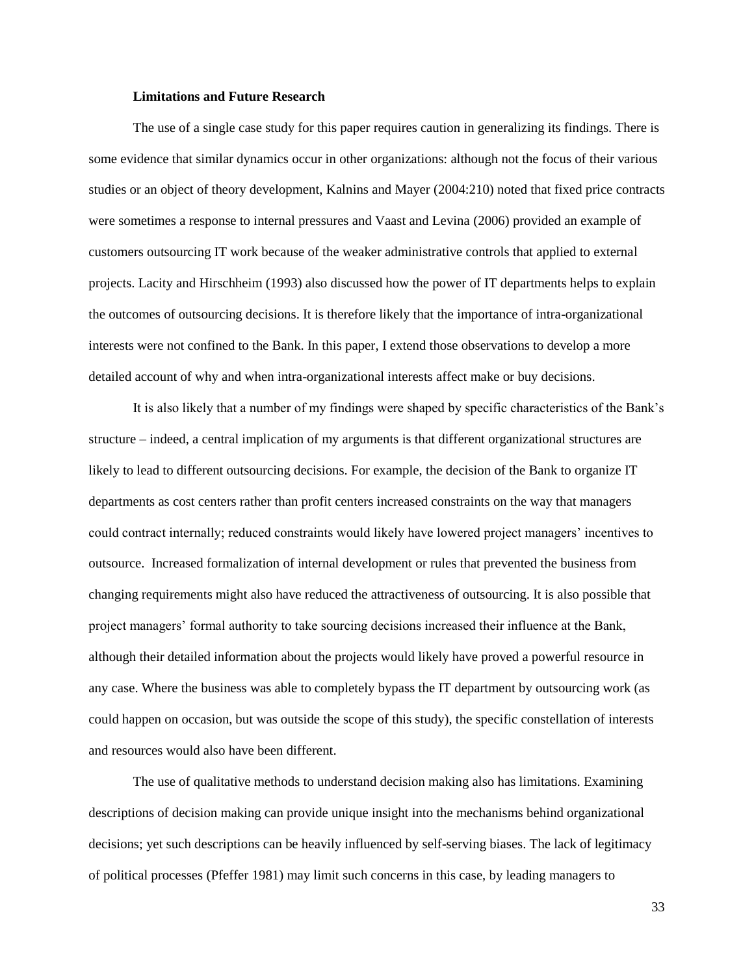#### **Limitations and Future Research**

The use of a single case study for this paper requires caution in generalizing its findings. There is some evidence that similar dynamics occur in other organizations: although not the focus of their various studies or an object of theory development, Kalnins and Mayer (2004:210) noted that fixed price contracts were sometimes a response to internal pressures and Vaast and Levina (2006) provided an example of customers outsourcing IT work because of the weaker administrative controls that applied to external projects. Lacity and Hirschheim (1993) also discussed how the power of IT departments helps to explain the outcomes of outsourcing decisions. It is therefore likely that the importance of intra-organizational interests were not confined to the Bank. In this paper, I extend those observations to develop a more detailed account of why and when intra-organizational interests affect make or buy decisions.

It is also likely that a number of my findings were shaped by specific characteristics of the Bank's structure – indeed, a central implication of my arguments is that different organizational structures are likely to lead to different outsourcing decisions. For example, the decision of the Bank to organize IT departments as cost centers rather than profit centers increased constraints on the way that managers could contract internally; reduced constraints would likely have lowered project managers' incentives to outsource. Increased formalization of internal development or rules that prevented the business from changing requirements might also have reduced the attractiveness of outsourcing. It is also possible that project managers' formal authority to take sourcing decisions increased their influence at the Bank, although their detailed information about the projects would likely have proved a powerful resource in any case. Where the business was able to completely bypass the IT department by outsourcing work (as could happen on occasion, but was outside the scope of this study), the specific constellation of interests and resources would also have been different.

The use of qualitative methods to understand decision making also has limitations. Examining descriptions of decision making can provide unique insight into the mechanisms behind organizational decisions; yet such descriptions can be heavily influenced by self-serving biases. The lack of legitimacy of political processes (Pfeffer 1981) may limit such concerns in this case, by leading managers to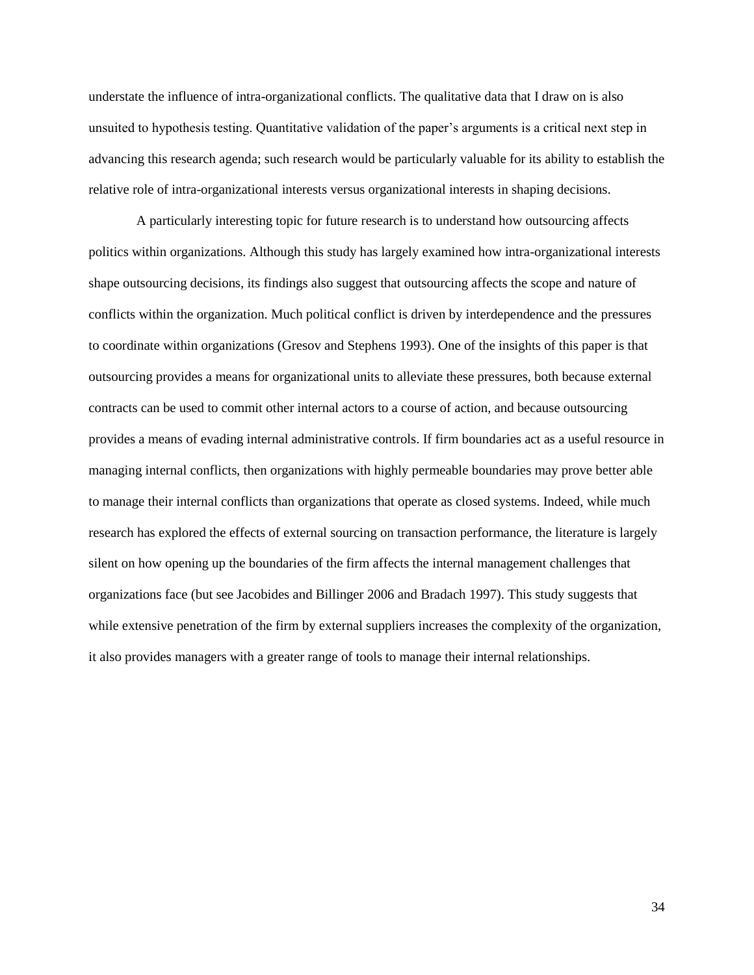understate the influence of intra-organizational conflicts. The qualitative data that I draw on is also unsuited to hypothesis testing. Quantitative validation of the paper's arguments is a critical next step in advancing this research agenda; such research would be particularly valuable for its ability to establish the relative role of intra-organizational interests versus organizational interests in shaping decisions.

A particularly interesting topic for future research is to understand how outsourcing affects politics within organizations. Although this study has largely examined how intra-organizational interests shape outsourcing decisions, its findings also suggest that outsourcing affects the scope and nature of conflicts within the organization. Much political conflict is driven by interdependence and the pressures to coordinate within organizations (Gresov and Stephens 1993). One of the insights of this paper is that outsourcing provides a means for organizational units to alleviate these pressures, both because external contracts can be used to commit other internal actors to a course of action, and because outsourcing provides a means of evading internal administrative controls. If firm boundaries act as a useful resource in managing internal conflicts, then organizations with highly permeable boundaries may prove better able to manage their internal conflicts than organizations that operate as closed systems. Indeed, while much research has explored the effects of external sourcing on transaction performance, the literature is largely silent on how opening up the boundaries of the firm affects the internal management challenges that organizations face (but see Jacobides and Billinger 2006 and Bradach 1997). This study suggests that while extensive penetration of the firm by external suppliers increases the complexity of the organization, it also provides managers with a greater range of tools to manage their internal relationships.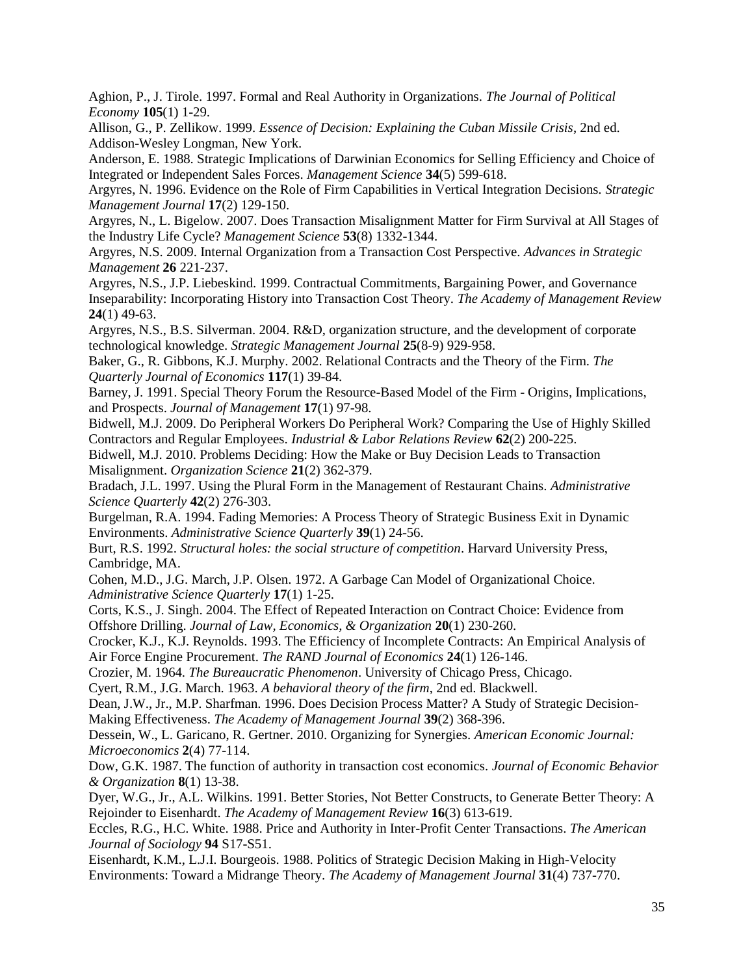Aghion, P., J. Tirole. 1997. Formal and Real Authority in Organizations. *The Journal of Political Economy* **105**(1) 1-29.

Allison, G., P. Zellikow. 1999. *Essence of Decision: Explaining the Cuban Missile Crisis*, 2nd ed. Addison-Wesley Longman, New York.

Anderson, E. 1988. Strategic Implications of Darwinian Economics for Selling Efficiency and Choice of Integrated or Independent Sales Forces. *Management Science* **34**(5) 599-618.

Argyres, N. 1996. Evidence on the Role of Firm Capabilities in Vertical Integration Decisions. *Strategic Management Journal* **17**(2) 129-150.

Argyres, N., L. Bigelow. 2007. Does Transaction Misalignment Matter for Firm Survival at All Stages of the Industry Life Cycle? *Management Science* **53**(8) 1332-1344.

Argyres, N.S. 2009. Internal Organization from a Transaction Cost Perspective. *Advances in Strategic Management* **26** 221-237.

Argyres, N.S., J.P. Liebeskind. 1999. Contractual Commitments, Bargaining Power, and Governance Inseparability: Incorporating History into Transaction Cost Theory. *The Academy of Management Review* **24**(1) 49-63.

Argyres, N.S., B.S. Silverman. 2004. R&D, organization structure, and the development of corporate technological knowledge. *Strategic Management Journal* **25**(8-9) 929-958.

Baker, G., R. Gibbons, K.J. Murphy. 2002. Relational Contracts and the Theory of the Firm. *The Quarterly Journal of Economics* **117**(1) 39-84.

Barney, J. 1991. Special Theory Forum the Resource-Based Model of the Firm - Origins, Implications, and Prospects. *Journal of Management* **17**(1) 97-98.

Bidwell, M.J. 2009. Do Peripheral Workers Do Peripheral Work? Comparing the Use of Highly Skilled Contractors and Regular Employees. *Industrial & Labor Relations Review* **62**(2) 200-225.

Bidwell, M.J. 2010. Problems Deciding: How the Make or Buy Decision Leads to Transaction Misalignment. *Organization Science* **21**(2) 362-379.

Bradach, J.L. 1997. Using the Plural Form in the Management of Restaurant Chains. *Administrative Science Quarterly* **42**(2) 276-303.

Burgelman, R.A. 1994. Fading Memories: A Process Theory of Strategic Business Exit in Dynamic Environments. *Administrative Science Quarterly* **39**(1) 24-56.

Burt, R.S. 1992. *Structural holes: the social structure of competition*. Harvard University Press, Cambridge, MA.

Cohen, M.D., J.G. March, J.P. Olsen. 1972. A Garbage Can Model of Organizational Choice. *Administrative Science Quarterly* **17**(1) 1-25.

Corts, K.S., J. Singh. 2004. The Effect of Repeated Interaction on Contract Choice: Evidence from Offshore Drilling. *Journal of Law, Economics, & Organization* **20**(1) 230-260.

Crocker, K.J., K.J. Reynolds. 1993. The Efficiency of Incomplete Contracts: An Empirical Analysis of Air Force Engine Procurement. *The RAND Journal of Economics* **24**(1) 126-146.

Crozier, M. 1964. *The Bureaucratic Phenomenon*. University of Chicago Press, Chicago.

Cyert, R.M., J.G. March. 1963. *A behavioral theory of the firm*, 2nd ed. Blackwell.

Dean, J.W., Jr., M.P. Sharfman. 1996. Does Decision Process Matter? A Study of Strategic Decision-Making Effectiveness. *The Academy of Management Journal* **39**(2) 368-396.

Dessein, W., L. Garicano, R. Gertner. 2010. Organizing for Synergies. *American Economic Journal: Microeconomics* **2**(4) 77-114.

Dow, G.K. 1987. The function of authority in transaction cost economics. *Journal of Economic Behavior & Organization* **8**(1) 13-38.

Dyer, W.G., Jr., A.L. Wilkins. 1991. Better Stories, Not Better Constructs, to Generate Better Theory: A Rejoinder to Eisenhardt. *The Academy of Management Review* **16**(3) 613-619.

Eccles, R.G., H.C. White. 1988. Price and Authority in Inter-Profit Center Transactions. *The American Journal of Sociology* **94** S17-S51.

Eisenhardt, K.M., L.J.I. Bourgeois. 1988. Politics of Strategic Decision Making in High-Velocity Environments: Toward a Midrange Theory. *The Academy of Management Journal* **31**(4) 737-770.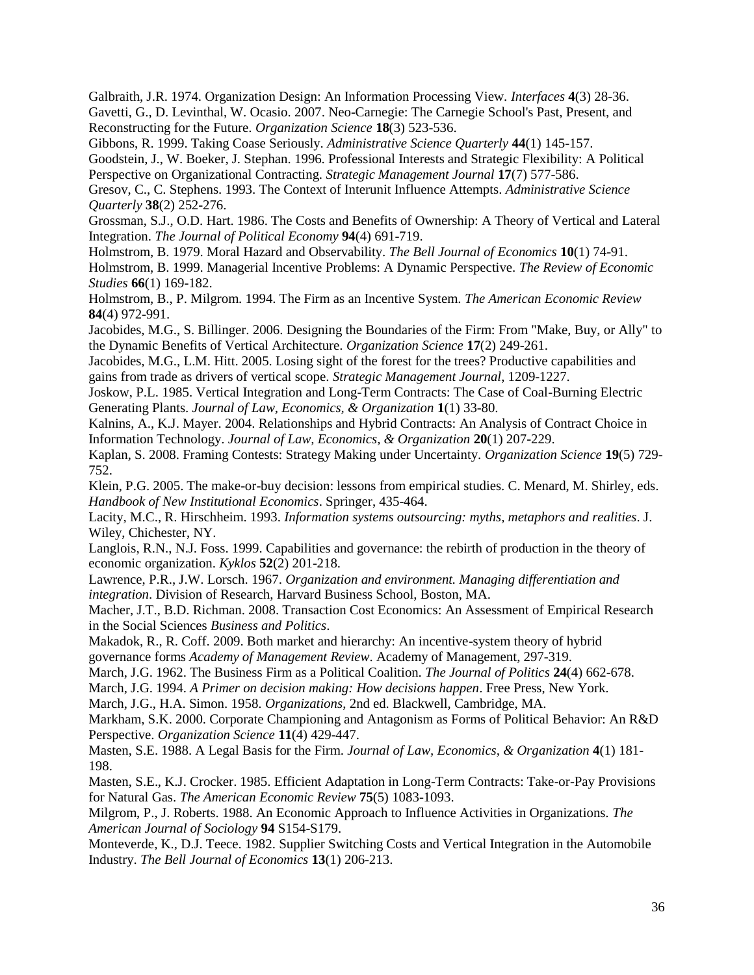Galbraith, J.R. 1974. Organization Design: An Information Processing View. *Interfaces* **4**(3) 28-36. Gavetti, G., D. Levinthal, W. Ocasio. 2007. Neo-Carnegie: The Carnegie School's Past, Present, and Reconstructing for the Future. *Organization Science* **18**(3) 523-536.

Gibbons, R. 1999. Taking Coase Seriously. *Administrative Science Quarterly* **44**(1) 145-157.

Goodstein, J., W. Boeker, J. Stephan. 1996. Professional Interests and Strategic Flexibility: A Political Perspective on Organizational Contracting. *Strategic Management Journal* **17**(7) 577-586.

Gresov, C., C. Stephens. 1993. The Context of Interunit Influence Attempts. *Administrative Science Quarterly* **38**(2) 252-276.

Grossman, S.J., O.D. Hart. 1986. The Costs and Benefits of Ownership: A Theory of Vertical and Lateral Integration. *The Journal of Political Economy* **94**(4) 691-719.

Holmstrom, B. 1979. Moral Hazard and Observability. *The Bell Journal of Economics* **10**(1) 74-91.

Holmstrom, B. 1999. Managerial Incentive Problems: A Dynamic Perspective. *The Review of Economic Studies* **66**(1) 169-182.

Holmstrom, B., P. Milgrom. 1994. The Firm as an Incentive System. *The American Economic Review* **84**(4) 972-991.

Jacobides, M.G., S. Billinger. 2006. Designing the Boundaries of the Firm: From "Make, Buy, or Ally" to the Dynamic Benefits of Vertical Architecture. *Organization Science* **17**(2) 249-261.

Jacobides, M.G., L.M. Hitt. 2005. Losing sight of the forest for the trees? Productive capabilities and gains from trade as drivers of vertical scope. *Strategic Management Journal*, 1209-1227.

Joskow, P.L. 1985. Vertical Integration and Long-Term Contracts: The Case of Coal-Burning Electric Generating Plants. *Journal of Law, Economics, & Organization* **1**(1) 33-80.

Kalnins, A., K.J. Mayer. 2004. Relationships and Hybrid Contracts: An Analysis of Contract Choice in Information Technology. *Journal of Law, Economics, & Organization* **20**(1) 207-229.

Kaplan, S. 2008. Framing Contests: Strategy Making under Uncertainty. *Organization Science* **19**(5) 729- 752.

Klein, P.G. 2005. The make-or-buy decision: lessons from empirical studies. C. Menard, M. Shirley, eds. *Handbook of New Institutional Economics*. Springer, 435-464.

Lacity, M.C., R. Hirschheim. 1993. *Information systems outsourcing: myths, metaphors and realities*. J. Wiley, Chichester, NY.

Langlois, R.N., N.J. Foss. 1999. Capabilities and governance: the rebirth of production in the theory of economic organization. *Kyklos* **52**(2) 201-218.

Lawrence, P.R., J.W. Lorsch. 1967. *Organization and environment. Managing differentiation and integration*. Division of Research, Harvard Business School, Boston, MA.

Macher, J.T., B.D. Richman. 2008. Transaction Cost Economics: An Assessment of Empirical Research in the Social Sciences *Business and Politics*.

Makadok, R., R. Coff. 2009. Both market and hierarchy: An incentive-system theory of hybrid governance forms *Academy of Management Review*. Academy of Management, 297-319.

March, J.G. 1962. The Business Firm as a Political Coalition. *The Journal of Politics* **24**(4) 662-678.

March, J.G. 1994. *A Primer on decision making: How decisions happen*. Free Press, New York.

March, J.G., H.A. Simon. 1958. *Organizations*, 2nd ed. Blackwell, Cambridge, MA.

Markham, S.K. 2000. Corporate Championing and Antagonism as Forms of Political Behavior: An R&D Perspective. *Organization Science* **11**(4) 429-447.

Masten, S.E. 1988. A Legal Basis for the Firm. *Journal of Law, Economics, & Organization* **4**(1) 181- 198.

Masten, S.E., K.J. Crocker. 1985. Efficient Adaptation in Long-Term Contracts: Take-or-Pay Provisions for Natural Gas. *The American Economic Review* **75**(5) 1083-1093.

Milgrom, P., J. Roberts. 1988. An Economic Approach to Influence Activities in Organizations. *The American Journal of Sociology* **94** S154-S179.

Monteverde, K., D.J. Teece. 1982. Supplier Switching Costs and Vertical Integration in the Automobile Industry. *The Bell Journal of Economics* **13**(1) 206-213.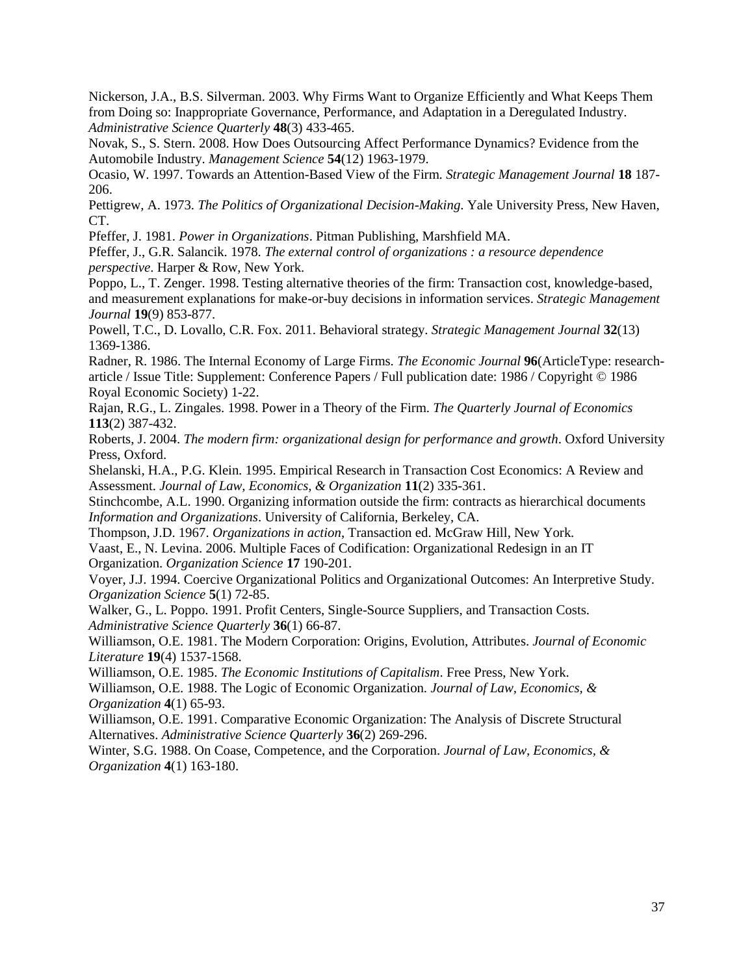Nickerson, J.A., B.S. Silverman. 2003. Why Firms Want to Organize Efficiently and What Keeps Them from Doing so: Inappropriate Governance, Performance, and Adaptation in a Deregulated Industry. *Administrative Science Quarterly* **48**(3) 433-465.

Novak, S., S. Stern. 2008. How Does Outsourcing Affect Performance Dynamics? Evidence from the Automobile Industry. *Management Science* **54**(12) 1963-1979.

Ocasio, W. 1997. Towards an Attention-Based View of the Firm. *Strategic Management Journal* **18** 187- 206.

Pettigrew, A. 1973. *The Politics of Organizational Decision-Making*. Yale University Press, New Haven, CT.

Pfeffer, J. 1981. *Power in Organizations*. Pitman Publishing, Marshfield MA.

Pfeffer, J., G.R. Salancik. 1978. *The external control of organizations : a resource dependence perspective*. Harper & Row, New York.

Poppo, L., T. Zenger. 1998. Testing alternative theories of the firm: Transaction cost, knowledge-based, and measurement explanations for make-or-buy decisions in information services. *Strategic Management Journal* **19**(9) 853-877.

Powell, T.C., D. Lovallo, C.R. Fox. 2011. Behavioral strategy. *Strategic Management Journal* **32**(13) 1369-1386.

Radner, R. 1986. The Internal Economy of Large Firms. *The Economic Journal* **96**(ArticleType: researcharticle / Issue Title: Supplement: Conference Papers / Full publication date: 1986 / Copyright © 1986 Royal Economic Society) 1-22.

Rajan, R.G., L. Zingales. 1998. Power in a Theory of the Firm. *The Quarterly Journal of Economics* **113**(2) 387-432.

Roberts, J. 2004. *The modern firm: organizational design for performance and growth*. Oxford University Press, Oxford.

Shelanski, H.A., P.G. Klein. 1995. Empirical Research in Transaction Cost Economics: A Review and Assessment. *Journal of Law, Economics, & Organization* **11**(2) 335-361.

Stinchcombe, A.L. 1990. Organizing information outside the firm: contracts as hierarchical documents *Information and Organizations*. University of California, Berkeley, CA.

Thompson, J.D. 1967. *Organizations in action*, Transaction ed. McGraw Hill, New York.

Vaast, E., N. Levina. 2006. Multiple Faces of Codification: Organizational Redesign in an IT Organization. *Organization Science* **17** 190-201.

Voyer, J.J. 1994. Coercive Organizational Politics and Organizational Outcomes: An Interpretive Study. *Organization Science* **5**(1) 72-85.

Walker, G., L. Poppo. 1991. Profit Centers, Single-Source Suppliers, and Transaction Costs. *Administrative Science Quarterly* **36**(1) 66-87.

Williamson, O.E. 1981. The Modern Corporation: Origins, Evolution, Attributes. *Journal of Economic Literature* **19**(4) 1537-1568.

Williamson, O.E. 1985. *The Economic Institutions of Capitalism*. Free Press, New York.

Williamson, O.E. 1988. The Logic of Economic Organization. *Journal of Law, Economics, & Organization* **4**(1) 65-93.

Williamson, O.E. 1991. Comparative Economic Organization: The Analysis of Discrete Structural Alternatives. *Administrative Science Quarterly* **36**(2) 269-296.

Winter, S.G. 1988. On Coase, Competence, and the Corporation. *Journal of Law, Economics, & Organization* **4**(1) 163-180.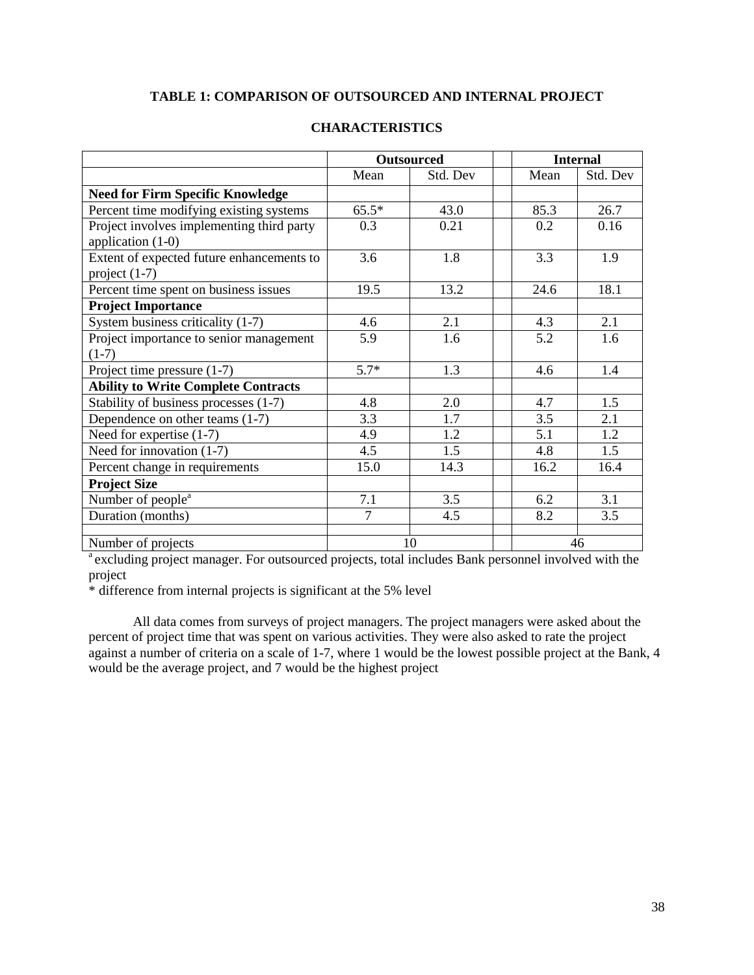# **TABLE 1: COMPARISON OF OUTSOURCED AND INTERNAL PROJECT**

|                                                                  | <b>Outsourced</b> |          | <b>Internal</b> |          |
|------------------------------------------------------------------|-------------------|----------|-----------------|----------|
|                                                                  | Mean              | Std. Dev | Mean            | Std. Dev |
| <b>Need for Firm Specific Knowledge</b>                          |                   |          |                 |          |
| Percent time modifying existing systems                          | $65.5*$           | 43.0     | 85.3            | 26.7     |
| Project involves implementing third party<br>application $(1-0)$ | 0.3               | 0.21     | 0.2             | 0.16     |
| Extent of expected future enhancements to<br>project $(1-7)$     | 3.6               | 1.8      | 3.3             | 1.9      |
| Percent time spent on business issues                            | 19.5              | 13.2     | 24.6            | 18.1     |
| <b>Project Importance</b>                                        |                   |          |                 |          |
| System business criticality (1-7)                                | 4.6               | 2.1      | 4.3             | 2.1      |
| Project importance to senior management<br>$(1-7)$               | 5.9               | 1.6      | 5.2             | 1.6      |
| Project time pressure $(1-7)$                                    | $5.7*$            | 1.3      | 4.6             | 1.4      |
| <b>Ability to Write Complete Contracts</b>                       |                   |          |                 |          |
| Stability of business processes (1-7)                            | 4.8               | 2.0      | 4.7             | 1.5      |
| Dependence on other teams (1-7)                                  | 3.3               | 1.7      | 3.5             | 2.1      |
| Need for expertise (1-7)                                         | 4.9               | 1.2      | 5.1             | 1.2      |
| Need for innovation (1-7)                                        | 4.5               | 1.5      | 4.8             | 1.5      |
| Percent change in requirements                                   | 15.0              | 14.3     | 16.2            | 16.4     |
| <b>Project Size</b>                                              |                   |          |                 |          |
| Number of people <sup>a</sup>                                    | 7.1               | 3.5      | 6.2             | 3.1      |
| Duration (months)                                                | 7                 | 4.5      | 8.2             | 3.5      |
| Number of projects                                               |                   | 10       |                 | 46       |

#### **CHARACTERISTICS**

<sup>a</sup> excluding project manager. For outsourced projects, total includes Bank personnel involved with the project

\* difference from internal projects is significant at the 5% level

All data comes from surveys of project managers. The project managers were asked about the percent of project time that was spent on various activities. They were also asked to rate the project against a number of criteria on a scale of 1-7, where 1 would be the lowest possible project at the Bank, 4 would be the average project, and 7 would be the highest project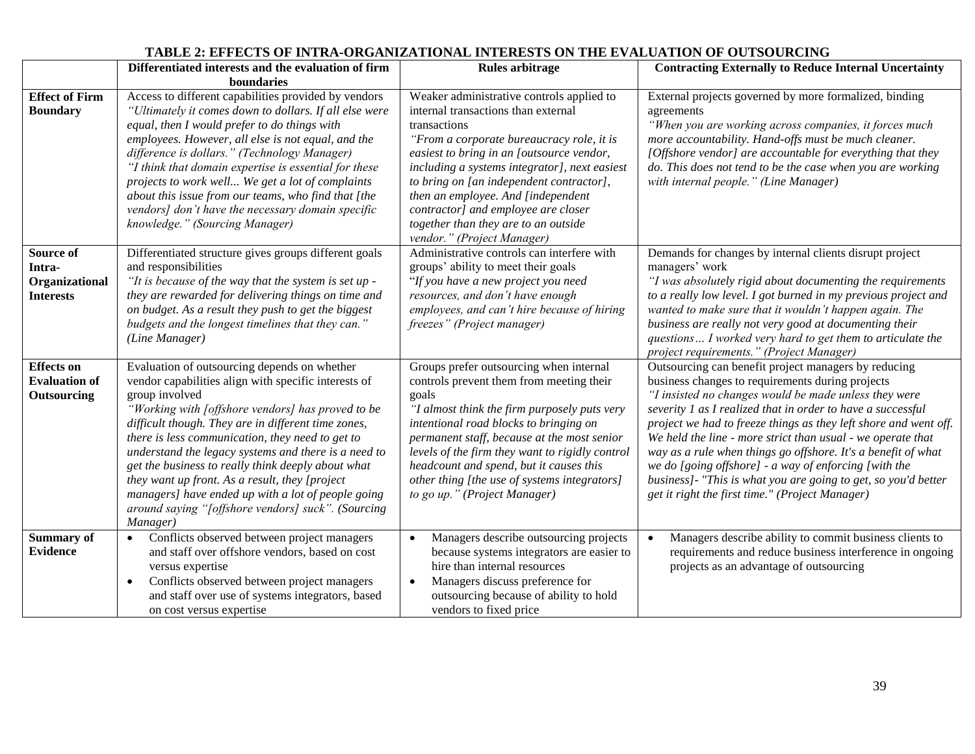# **TABLE 2: EFFECTS OF INTRA-ORGANIZATIONAL INTERESTS ON THE EVALUATION OF OUTSOURCING**

|                                                           | Differentiated interests and the evaluation of firm<br>boundaries                                                                                                                                                                                                                                                                                                                                                                                                                                                                                                              | <b>Rules arbitrage</b>                                                                                                                                                                                                                                                                                                                                                                                                                     | <b>Contracting Externally to Reduce Internal Uncertainty</b>                                                                                                                                                                                                                                                                                                                                                                                                                                                                                                                                                       |
|-----------------------------------------------------------|--------------------------------------------------------------------------------------------------------------------------------------------------------------------------------------------------------------------------------------------------------------------------------------------------------------------------------------------------------------------------------------------------------------------------------------------------------------------------------------------------------------------------------------------------------------------------------|--------------------------------------------------------------------------------------------------------------------------------------------------------------------------------------------------------------------------------------------------------------------------------------------------------------------------------------------------------------------------------------------------------------------------------------------|--------------------------------------------------------------------------------------------------------------------------------------------------------------------------------------------------------------------------------------------------------------------------------------------------------------------------------------------------------------------------------------------------------------------------------------------------------------------------------------------------------------------------------------------------------------------------------------------------------------------|
| <b>Effect of Firm</b><br><b>Boundary</b>                  | Access to different capabilities provided by vendors<br>"Ultimately it comes down to dollars. If all else were<br>equal, then I would prefer to do things with<br>employees. However, all else is not equal, and the<br>difference is dollars." (Technology Manager)<br>"I think that domain expertise is essential for these<br>projects to work well We get a lot of complaints<br>about this issue from our teams, who find that [the<br>vendors] don't have the necessary domain specific<br>knowledge." (Sourcing Manager)                                                | Weaker administrative controls applied to<br>internal transactions than external<br>transactions<br>"From a corporate bureaucracy role, it is<br>easiest to bring in an [outsource vendor,<br>including a systems integrator], next easiest<br>to bring on [an independent contractor],<br>then an employee. And [independent<br>contractor] and employee are closer<br>together than they are to an outside<br>vendor." (Project Manager) | External projects governed by more formalized, binding<br>agreements<br>"When you are working across companies, it forces much<br>more accountability. Hand-offs must be much cleaner.<br>[Offshore vendor] are accountable for everything that they<br>do. This does not tend to be the case when you are working<br>with internal people." (Line Manager)                                                                                                                                                                                                                                                        |
| Source of<br>Intra-<br>Organizational<br><b>Interests</b> | Differentiated structure gives groups different goals<br>and responsibilities<br>"It is because of the way that the system is set up -<br>they are rewarded for delivering things on time and<br>on budget. As a result they push to get the biggest<br>budgets and the longest timelines that they can."<br>(Line Manager)                                                                                                                                                                                                                                                    | Administrative controls can interfere with<br>groups' ability to meet their goals<br>"If you have a new project you need<br>resources, and don't have enough<br>employees, and can't hire because of hiring<br>freezes" (Project manager)                                                                                                                                                                                                  | Demands for changes by internal clients disrupt project<br>managers' work<br>"I was absolutely rigid about documenting the requirements<br>to a really low level. I got burned in my previous project and<br>wanted to make sure that it wouldn't happen again. The<br>business are really not very good at documenting their<br>questions I worked very hard to get them to articulate the<br>project requirements." (Project Manager)                                                                                                                                                                            |
| <b>Effects</b> on<br><b>Evaluation of</b><br>Outsourcing  | Evaluation of outsourcing depends on whether<br>vendor capabilities align with specific interests of<br>group involved<br>"Working with [offshore vendors] has proved to be<br>difficult though. They are in different time zones,<br>there is less communication, they need to get to<br>understand the legacy systems and there is a need to<br>get the business to really think deeply about what<br>they want up front. As a result, they [project<br>managers] have ended up with a lot of people going<br>around saying "[offshore vendors] suck". (Sourcing<br>Manager) | Groups prefer outsourcing when internal<br>controls prevent them from meeting their<br>goals<br>"I almost think the firm purposely puts very<br>intentional road blocks to bringing on<br>permanent staff, because at the most senior<br>levels of the firm they want to rigidly control<br>headcount and spend, but it causes this<br>other thing [the use of systems integrators]<br>to go up." (Project Manager)                        | Outsourcing can benefit project managers by reducing<br>business changes to requirements during projects<br>"I insisted no changes would be made unless they were<br>severity 1 as I realized that in order to have a successful<br>project we had to freeze things as they left shore and went off.<br>We held the line - more strict than usual - we operate that<br>way as a rule when things go offshore. It's a benefit of what<br>we do [going offshore] - a way of enforcing [with the<br>business]- "This is what you are going to get, so you'd better<br>get it right the first time." (Project Manager) |
| <b>Summary of</b><br><b>Evidence</b>                      | Conflicts observed between project managers<br>$\bullet$<br>and staff over offshore vendors, based on cost<br>versus expertise<br>Conflicts observed between project managers<br>$\bullet$<br>and staff over use of systems integrators, based<br>on cost versus expertise                                                                                                                                                                                                                                                                                                     | Managers describe outsourcing projects<br>$\bullet$<br>because systems integrators are easier to<br>hire than internal resources<br>Managers discuss preference for<br>outsourcing because of ability to hold<br>vendors to fixed price                                                                                                                                                                                                    | Managers describe ability to commit business clients to<br>$\bullet$<br>requirements and reduce business interference in ongoing<br>projects as an advantage of outsourcing                                                                                                                                                                                                                                                                                                                                                                                                                                        |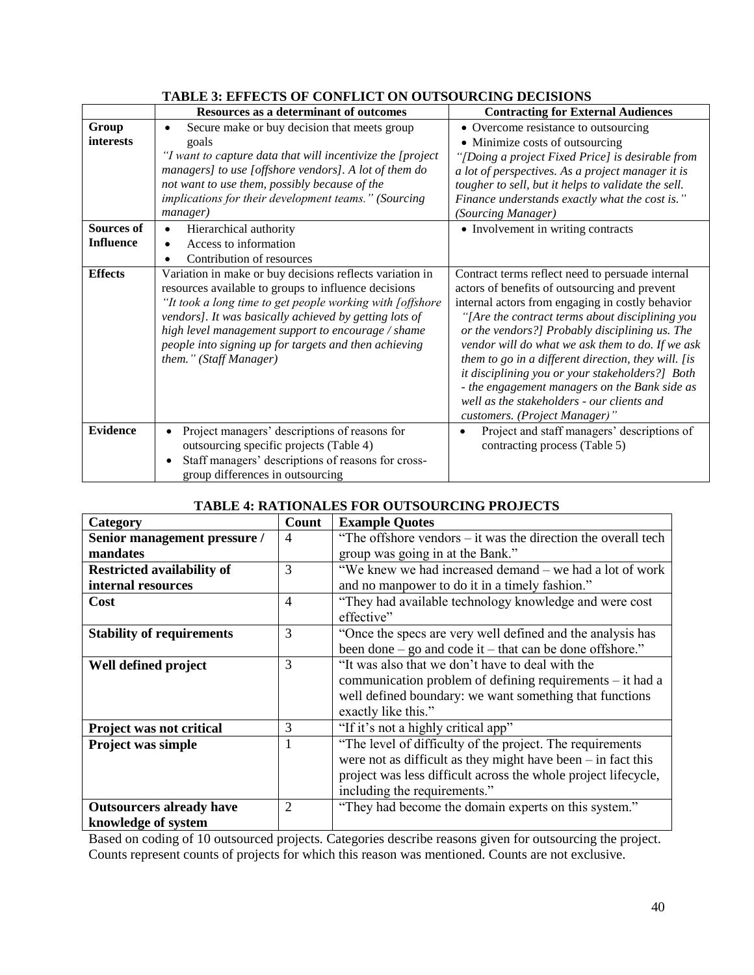|                                | TABLE 3. EFFECTS OF CONFLICT ON OUTSOURCING DECISIONS                                                                                                                                                                                                                                                                                                                            |                                                                                                                                                                                                                                                                                                                                                                                                                                                                                                                                                          |  |  |  |  |
|--------------------------------|----------------------------------------------------------------------------------------------------------------------------------------------------------------------------------------------------------------------------------------------------------------------------------------------------------------------------------------------------------------------------------|----------------------------------------------------------------------------------------------------------------------------------------------------------------------------------------------------------------------------------------------------------------------------------------------------------------------------------------------------------------------------------------------------------------------------------------------------------------------------------------------------------------------------------------------------------|--|--|--|--|
|                                | <b>Resources as a determinant of outcomes</b>                                                                                                                                                                                                                                                                                                                                    | <b>Contracting for External Audiences</b>                                                                                                                                                                                                                                                                                                                                                                                                                                                                                                                |  |  |  |  |
| Group<br><b>interests</b>      | Secure make or buy decision that meets group<br>٠<br>goals<br>"I want to capture data that will incentivize the [project<br>managers] to use [offshore vendors]. A lot of them do<br>not want to use them, possibly because of the<br>implications for their development teams." (Sourcing<br>manager)                                                                           | • Overcome resistance to outsourcing<br>• Minimize costs of outsourcing<br>"[Doing a project Fixed Price] is desirable from<br>a lot of perspectives. As a project manager it is<br>tougher to sell, but it helps to validate the sell.<br>Finance understands exactly what the cost is."<br>(Sourcing Manager)                                                                                                                                                                                                                                          |  |  |  |  |
| Sources of<br><b>Influence</b> | Hierarchical authority<br>$\bullet$<br>Access to information<br>$\bullet$<br>Contribution of resources<br>$\bullet$                                                                                                                                                                                                                                                              | • Involvement in writing contracts                                                                                                                                                                                                                                                                                                                                                                                                                                                                                                                       |  |  |  |  |
| <b>Effects</b>                 | Variation in make or buy decisions reflects variation in<br>resources available to groups to influence decisions<br>"It took a long time to get people working with [offshore<br>vendors]. It was basically achieved by getting lots of<br>high level management support to encourage / shame<br>people into signing up for targets and then achieving<br>them." (Staff Manager) | Contract terms reflect need to persuade internal<br>actors of benefits of outsourcing and prevent<br>internal actors from engaging in costly behavior<br>"[Are the contract terms about disciplining you<br>or the vendors?] Probably disciplining us. The<br>vendor will do what we ask them to do. If we ask<br>them to go in a different direction, they will. [is<br>it disciplining you or your stakeholders?] Both<br>- the engagement managers on the Bank side as<br>well as the stakeholders - our clients and<br>customers. (Project Manager)" |  |  |  |  |
| <b>Evidence</b>                | Project managers' descriptions of reasons for<br>$\bullet$<br>outsourcing specific projects (Table 4)<br>Staff managers' descriptions of reasons for cross-<br>$\bullet$<br>group differences in outsourcing                                                                                                                                                                     | Project and staff managers' descriptions of<br>$\bullet$<br>contracting process (Table 5)                                                                                                                                                                                                                                                                                                                                                                                                                                                                |  |  |  |  |

# **TABLE 3: EFFECTS OF CONFLICT ON OUTSOURCING DECISIONS**

### **TABLE 4: RATIONALES FOR OUTSOURCING PROJECTS**

| Category                          | Count          | <b>Example Quotes</b>                                          |
|-----------------------------------|----------------|----------------------------------------------------------------|
| Senior management pressure /      | $\overline{4}$ | "The offshore vendors – it was the direction the overall tech  |
| mandates                          |                | group was going in at the Bank."                               |
| <b>Restricted availability of</b> | 3              | "We knew we had increased demand – we had a lot of work        |
| internal resources                |                | and no manpower to do it in a timely fashion."                 |
| <b>Cost</b>                       | $\overline{4}$ | "They had available technology knowledge and were cost         |
|                                   |                | effective"                                                     |
| <b>Stability of requirements</b>  | 3              | "Once the specs are very well defined and the analysis has     |
|                                   |                | been done – go and code it – that can be done offshore."       |
| Well defined project              | 3              | "It was also that we don't have to deal with the               |
|                                   |                | communication problem of defining requirements $-$ it had a    |
|                                   |                | well defined boundary: we want something that functions        |
|                                   |                | exactly like this."                                            |
| Project was not critical          | 3              | "If it's not a highly critical app"                            |
| <b>Project was simple</b>         | 1              | "The level of difficulty of the project. The requirements      |
|                                   |                | were not as difficult as they might have been $-$ in fact this |
|                                   |                | project was less difficult across the whole project lifecycle, |
|                                   |                | including the requirements."                                   |
| <b>Outsourcers already have</b>   | $\overline{c}$ | "They had become the domain experts on this system."           |
| knowledge of system               |                |                                                                |

Based on coding of 10 outsourced projects. Categories describe reasons given for outsourcing the project. Counts represent counts of projects for which this reason was mentioned. Counts are not exclusive.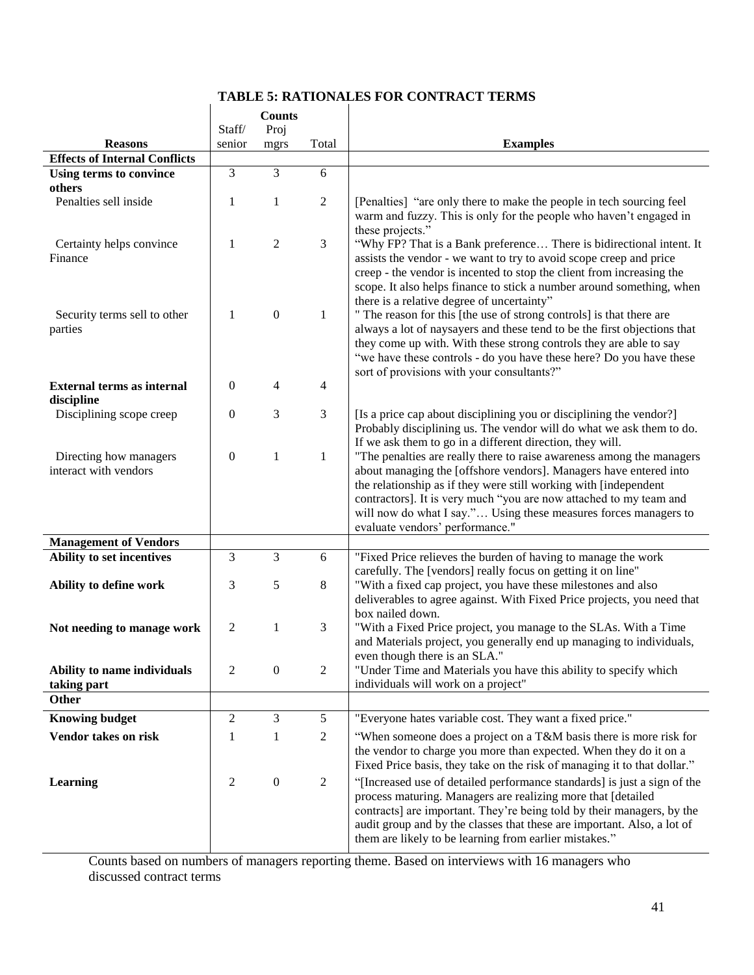#### **Counts Reasons** Staff/ senior Proj mgrs Total **Examples Effects of Internal Conflicts Using terms to convince others** 3 3 6 Penalties sell inside 1 1 1 2 [Penalties] "are only there to make the people in tech sourcing feel warm and fuzzy. This is only for the people who haven't engaged in these projects." Certainty helps convince Finance 1 2 3 Why FP? That is a Bank preference... There is bidirectional intent. It assists the vendor - we want to try to avoid scope creep and price creep - the vendor is incented to stop the client from increasing the scope. It also helps finance to stick a number around something, when there is a relative degree of uncertainty" Security terms sell to other parties 1 0 1 The reason for this [the use of strong controls] is that there are always a lot of naysayers and these tend to be the first objections that they come up with. With these strong controls they are able to say "we have these controls - do you have these here? Do you have these sort of provisions with your consultants?" **External terms as internal discipline** 0 4 4 Disciplining scope creep  $\begin{vmatrix} 0 & 3 & 3 \end{vmatrix}$  [Is a price cap about disciplining you or disciplining the vendor?] Probably disciplining us. The vendor will do what we ask them to do. If we ask them to go in a different direction, they will. Directing how managers interact with vendors  $\begin{bmatrix} 0 & 1 \end{bmatrix}$  The penalties are really there to raise awareness among the managers about managing the [offshore vendors]. Managers have entered into the relationship as if they were still working with [independent contractors]. It is very much "you are now attached to my team and will now do what I say."… Using these measures forces managers to evaluate vendors' performance." **Management of Vendors Ability to set incentives** 3 3 3 6 Textle Price relieves the burden of having to manage the work carefully. The [vendors] really focus on getting it on line" **Ability to define work** 3 5 8 With a fixed cap project, you have these milestones and also deliverables to agree against. With Fixed Price projects, you need that box nailed down. **Not needing to manage work** 2 1 3 With a Fixed Price project, you manage to the SLAs. With a Time and Materials project, you generally end up managing to individuals, even though there is an SLA." **Ability to name individuals taking part** 2 0 2 Under Time and Materials you have this ability to specify which individuals will work on a project" **Other Knowing budget** 2 3 5 Everyone hates variable cost. They want a fixed price." **Vendor takes on risk**  $\begin{vmatrix} 1 & 1 & 2 \end{vmatrix}$  "When someone does a project on a T&M basis there is more risk for the vendor to charge you more than expected. When they do it on a Fixed Price basis, they take on the risk of managing it to that dollar." **Learning** 2 0 2 <sup>"</sup>[Increased use of detailed performance standards] is just a sign of the process maturing. Managers are realizing more that [detailed contracts] are important. They're being told by their managers, by the audit group and by the classes that these are important. Also, a lot of them are likely to be learning from earlier mistakes."

# **TABLE 5: RATIONALES FOR CONTRACT TERMS**

Counts based on numbers of managers reporting theme. Based on interviews with 16 managers who discussed contract terms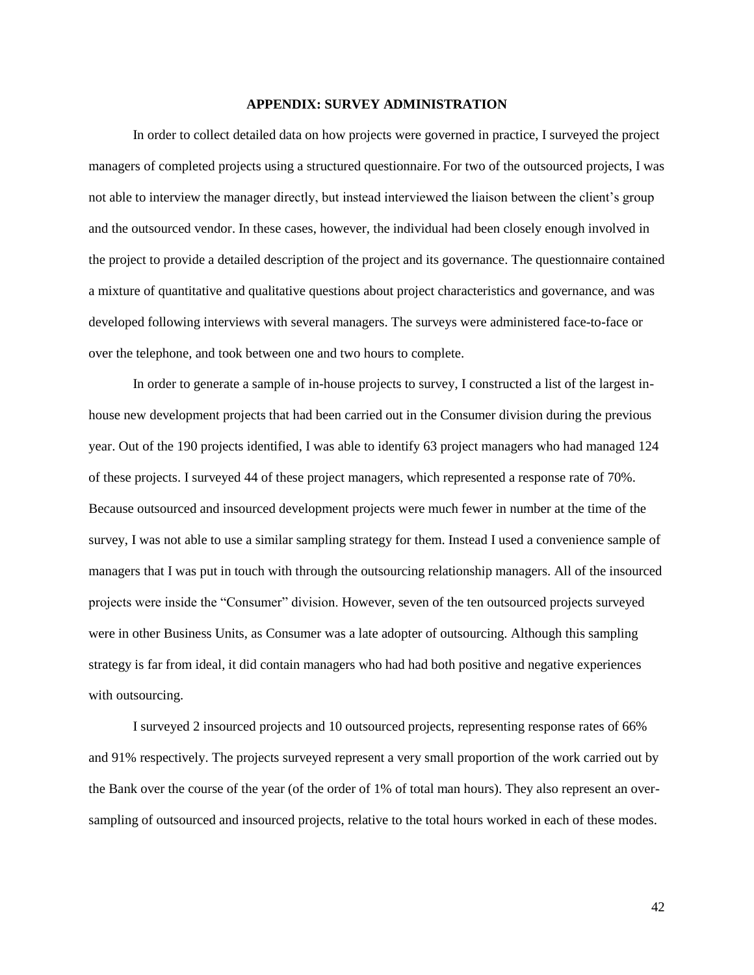#### **APPENDIX: SURVEY ADMINISTRATION**

In order to collect detailed data on how projects were governed in practice, I surveyed the project managers of completed projects using a structured questionnaire. For two of the outsourced projects, I was not able to interview the manager directly, but instead interviewed the liaison between the client's group and the outsourced vendor. In these cases, however, the individual had been closely enough involved in the project to provide a detailed description of the project and its governance. The questionnaire contained a mixture of quantitative and qualitative questions about project characteristics and governance, and was developed following interviews with several managers. The surveys were administered face-to-face or over the telephone, and took between one and two hours to complete.

In order to generate a sample of in-house projects to survey, I constructed a list of the largest inhouse new development projects that had been carried out in the Consumer division during the previous year. Out of the 190 projects identified, I was able to identify 63 project managers who had managed 124 of these projects. I surveyed 44 of these project managers, which represented a response rate of 70%. Because outsourced and insourced development projects were much fewer in number at the time of the survey, I was not able to use a similar sampling strategy for them. Instead I used a convenience sample of managers that I was put in touch with through the outsourcing relationship managers. All of the insourced projects were inside the "Consumer" division. However, seven of the ten outsourced projects surveyed were in other Business Units, as Consumer was a late adopter of outsourcing. Although this sampling strategy is far from ideal, it did contain managers who had had both positive and negative experiences with outsourcing.

I surveyed 2 insourced projects and 10 outsourced projects, representing response rates of 66% and 91% respectively. The projects surveyed represent a very small proportion of the work carried out by the Bank over the course of the year (of the order of 1% of total man hours). They also represent an oversampling of outsourced and insourced projects, relative to the total hours worked in each of these modes.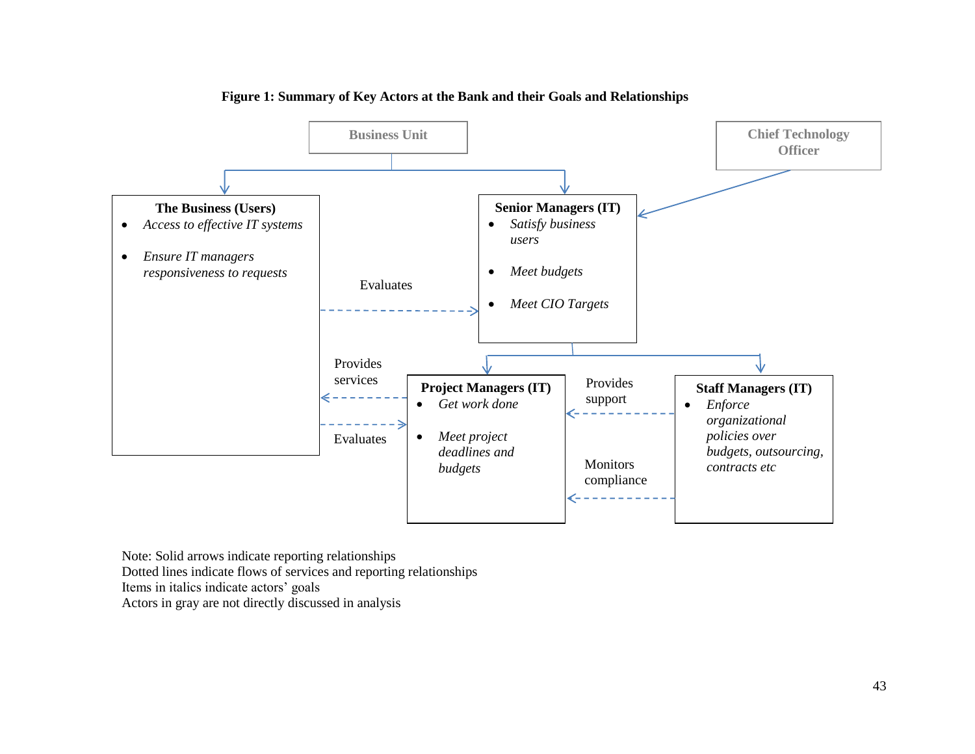

**Figure 1: Summary of Key Actors at the Bank and their Goals and Relationships**

Note: Solid arrows indicate reporting relationships

Dotted lines indicate flows of services and reporting relationships

Items in italics indicate actors' goals

Actors in gray are not directly discussed in analysis